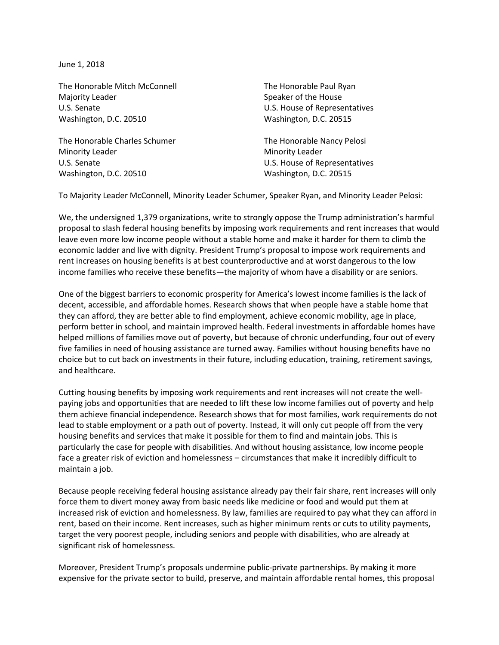June 1, 2018

The Honorable Mitch McConnell Majority Leader U.S. Senate Washington, D.C. 20510

The Honorable Charles Schumer Minority Leader U.S. Senate Washington, D.C. 20510

The Honorable Paul Ryan Speaker of the House U.S. House of Representatives Washington, D.C. 20515

The Honorable Nancy Pelosi Minority Leader U.S. House of Representatives Washington, D.C. 20515

To Majority Leader McConnell, Minority Leader Schumer, Speaker Ryan, and Minority Leader Pelosi:

We, the undersigned 1,379 organizations, write to strongly oppose the Trump administration's harmful proposal to slash federal housing benefits by imposing work requirements and rent increases that would leave even more low income people without a stable home and make it harder for them to climb the economic ladder and live with dignity. President Trump's proposal to impose work requirements and rent increases on housing benefits is at best counterproductive and at worst dangerous to the low income families who receive these benefits—the majority of whom have a disability or are seniors.

One of the biggest barriers to economic prosperity for America's lowest income families is the lack of decent, accessible, and affordable homes. Research shows that when people have a stable home that they can afford, they are better able to find employment, achieve economic mobility, age in place, perform better in school, and maintain improved health. Federal investments in affordable homes have helped millions of families move out of poverty, but because of chronic underfunding, four out of every five families in need of housing assistance are turned away. Families without housing benefits have no choice but to cut back on investments in their future, including education, training, retirement savings, and healthcare.

Cutting housing benefits by imposing work requirements and rent increases will not create the wellpaying jobs and opportunities that are needed to lift these low income families out of poverty and help them achieve financial independence. Research shows that for most families, work requirements do not lead to stable employment or a path out of poverty. Instead, it will only cut people off from the very housing benefits and services that make it possible for them to find and maintain jobs. This is particularly the case for people with disabilities. And without housing assistance, low income people face a greater risk of eviction and homelessness – circumstances that make it incredibly difficult to maintain a job.

Because people receiving federal housing assistance already pay their fair share, rent increases will only force them to divert money away from basic needs like medicine or food and would put them at increased risk of eviction and homelessness. By law, families are required to pay what they can afford in rent, based on their income. Rent increases, such as higher minimum rents or cuts to utility payments, target the very poorest people, including seniors and people with disabilities, who are already at significant risk of homelessness.

Moreover, President Trump's proposals undermine public-private partnerships. By making it more expensive for the private sector to build, preserve, and maintain affordable rental homes, this proposal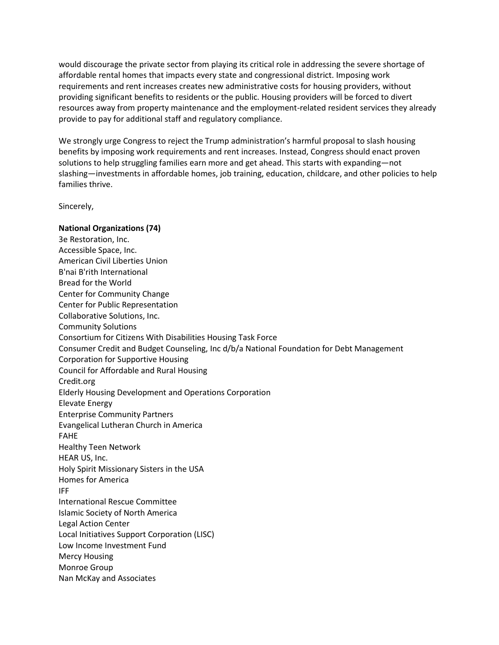would discourage the private sector from playing its critical role in addressing the severe shortage of affordable rental homes that impacts every state and congressional district. Imposing work requirements and rent increases creates new administrative costs for housing providers, without providing significant benefits to residents or the public. Housing providers will be forced to divert resources away from property maintenance and the employment-related resident services they already provide to pay for additional staff and regulatory compliance.

We strongly urge Congress to reject the Trump administration's harmful proposal to slash housing benefits by imposing work requirements and rent increases. Instead, Congress should enact proven solutions to help struggling families earn more and get ahead. This starts with expanding—not slashing—investments in affordable homes, job training, education, childcare, and other policies to help families thrive.

Sincerely,

## **National Organizations (74)**

3e Restoration, Inc. Accessible Space, Inc. American Civil Liberties Union B'nai B'rith International Bread for the World Center for Community Change Center for Public Representation Collaborative Solutions, Inc. Community Solutions Consortium for Citizens With Disabilities Housing Task Force Consumer Credit and Budget Counseling, Inc d/b/a National Foundation for Debt Management Corporation for Supportive Housing Council for Affordable and Rural Housing Credit.org Elderly Housing Development and Operations Corporation Elevate Energy Enterprise Community Partners Evangelical Lutheran Church in America FAHE Healthy Teen Network HEAR US, Inc. Holy Spirit Missionary Sisters in the USA Homes for America IFF International Rescue Committee Islamic Society of North America Legal Action Center Local Initiatives Support Corporation (LISC) Low Income Investment Fund Mercy Housing Monroe Group Nan McKay and Associates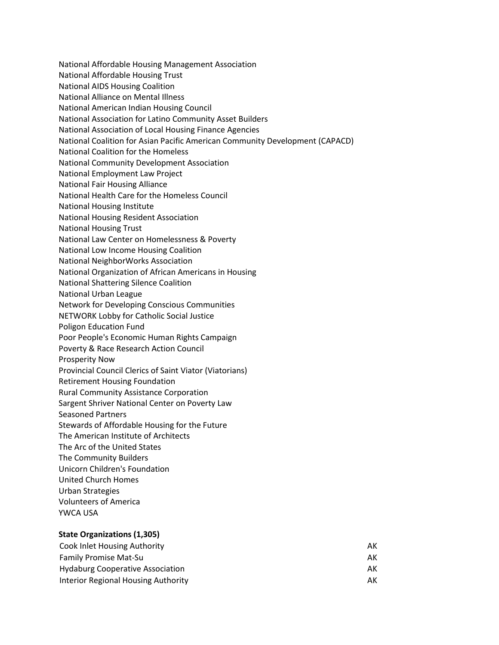National Affordable Housing Management Association

National Affordable Housing Trust

- National AIDS Housing Coalition
- National Alliance on Mental Illness
- National American Indian Housing Council
- National Association for Latino Community Asset Builders
- National Association of Local Housing Finance Agencies
- National Coalition for Asian Pacific American Community Development (CAPACD)
- National Coalition for the Homeless
- National Community Development Association
- National Employment Law Project
- National Fair Housing Alliance
- National Health Care for the Homeless Council
- National Housing Institute
- National Housing Resident Association
- National Housing Trust
- National Law Center on Homelessness & Poverty
- National Low Income Housing Coalition
- National NeighborWorks Association
- National Organization of African Americans in Housing
- National Shattering Silence Coalition
- National Urban League
- Network for Developing Conscious Communities
- NETWORK Lobby for Catholic Social Justice
- Poligon Education Fund
- Poor People's Economic Human Rights Campaign
- Poverty & Race Research Action Council
- Prosperity Now
- Provincial Council Clerics of Saint Viator (Viatorians)
- Retirement Housing Foundation
- Rural Community Assistance Corporation
- Sargent Shriver National Center on Poverty Law
- Seasoned Partners
- Stewards of Affordable Housing for the Future
- The American Institute of Architects
- The Arc of the United States
- The Community Builders
- Unicorn Children's Foundation
- United Church Homes
- Urban Strategies
- Volunteers of America
- YWCA USA

## **State Organizations (1,305)**

| <b>Cook Inlet Housing Authority</b>     | АΚ |
|-----------------------------------------|----|
| <b>Family Promise Mat-Su</b>            | АK |
| <b>Hydaburg Cooperative Association</b> | AК |
| Interior Regional Housing Authority     | AK |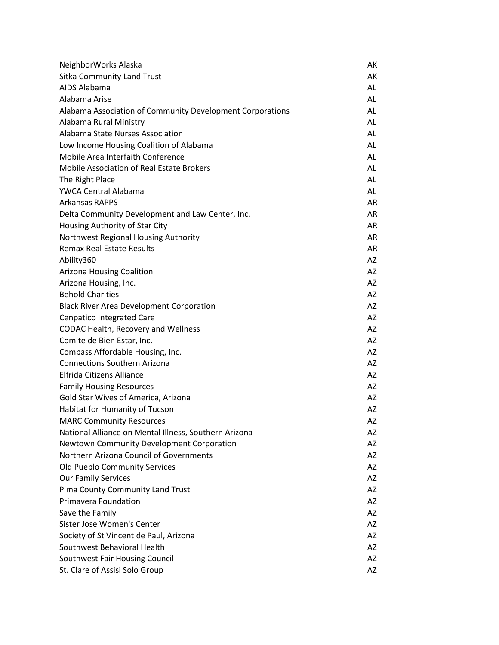| NeighborWorks Alaska                                      | AK        |
|-----------------------------------------------------------|-----------|
| <b>Sitka Community Land Trust</b>                         | AK        |
| AIDS Alabama                                              | AL        |
| Alabama Arise                                             | AL        |
| Alabama Association of Community Development Corporations | AL        |
| Alabama Rural Ministry                                    | AL        |
| Alabama State Nurses Association                          | AL        |
| Low Income Housing Coalition of Alabama                   | AL        |
| Mobile Area Interfaith Conference                         | AL        |
| Mobile Association of Real Estate Brokers                 | AL        |
| The Right Place                                           | <b>AL</b> |
| <b>YWCA Central Alabama</b>                               | AL        |
| <b>Arkansas RAPPS</b>                                     | AR        |
| Delta Community Development and Law Center, Inc.          | AR        |
| Housing Authority of Star City                            | AR        |
| Northwest Regional Housing Authority                      | AR        |
| <b>Remax Real Estate Results</b>                          | AR        |
| Ability360                                                | AZ        |
| <b>Arizona Housing Coalition</b>                          | AZ        |
| Arizona Housing, Inc.                                     | AZ        |
| <b>Behold Charities</b>                                   | AZ        |
| <b>Black River Area Development Corporation</b>           | AZ        |
| <b>Cenpatico Integrated Care</b>                          | <b>AZ</b> |
| CODAC Health, Recovery and Wellness                       | AZ        |
| Comite de Bien Estar, Inc.                                | AZ        |
| Compass Affordable Housing, Inc.                          | AZ        |
| <b>Connections Southern Arizona</b>                       | AZ        |
| Elfrida Citizens Alliance                                 | <b>AZ</b> |
| <b>Family Housing Resources</b>                           | AZ        |
| Gold Star Wives of America, Arizona                       | AZ        |
| Habitat for Humanity of Tucson                            | AZ        |
| <b>MARC Community Resources</b>                           | AZ        |
| National Alliance on Mental Illness, Southern Arizona     | AZ        |
| Newtown Community Development Corporation                 | AZ        |
| Northern Arizona Council of Governments                   | AZ        |
| <b>Old Pueblo Community Services</b>                      | AZ        |
| <b>Our Family Services</b>                                | AZ        |
| Pima County Community Land Trust                          | AZ        |
| Primavera Foundation                                      | AZ        |
| Save the Family                                           | AZ        |
| Sister Jose Women's Center                                | AZ        |
| Society of St Vincent de Paul, Arizona                    | AZ        |
| Southwest Behavioral Health                               | AZ        |
| Southwest Fair Housing Council                            | AZ        |
| St. Clare of Assisi Solo Group                            | AZ        |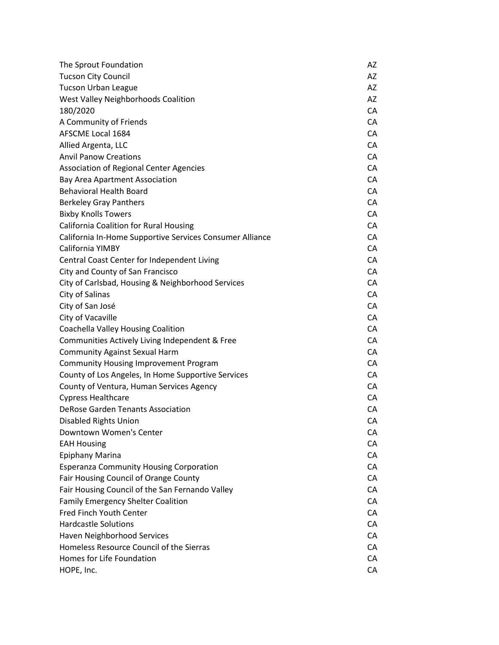| The Sprout Foundation                                    | AZ |
|----------------------------------------------------------|----|
| <b>Tucson City Council</b>                               | AZ |
| <b>Tucson Urban League</b>                               | AZ |
| West Valley Neighborhoods Coalition                      | AZ |
| 180/2020                                                 | CA |
| A Community of Friends                                   | CA |
| <b>AFSCME Local 1684</b>                                 | CA |
| Allied Argenta, LLC                                      | CA |
| <b>Anvil Panow Creations</b>                             | CA |
| <b>Association of Regional Center Agencies</b>           | CA |
| <b>Bay Area Apartment Association</b>                    | CA |
| <b>Behavioral Health Board</b>                           | CA |
| <b>Berkeley Gray Panthers</b>                            | CA |
| <b>Bixby Knolls Towers</b>                               | CA |
| <b>California Coalition for Rural Housing</b>            | CA |
| California In-Home Supportive Services Consumer Alliance | CA |
| California YIMBY                                         | CA |
| Central Coast Center for Independent Living              | CA |
| City and County of San Francisco                         | CA |
| City of Carlsbad, Housing & Neighborhood Services        | CA |
| City of Salinas                                          | CA |
| City of San José                                         | CA |
| City of Vacaville                                        | CA |
| Coachella Valley Housing Coalition                       | CA |
| Communities Actively Living Independent & Free           | CA |
| <b>Community Against Sexual Harm</b>                     | CA |
| <b>Community Housing Improvement Program</b>             | CA |
| County of Los Angeles, In Home Supportive Services       | CA |
| County of Ventura, Human Services Agency                 | CA |
| <b>Cypress Healthcare</b>                                | CA |
| <b>DeRose Garden Tenants Association</b>                 | CA |
| <b>Disabled Rights Union</b>                             | CА |
| Downtown Women's Center                                  | CA |
| <b>EAH Housing</b>                                       | CA |
| <b>Epiphany Marina</b>                                   | CA |
| <b>Esperanza Community Housing Corporation</b>           | CA |
| Fair Housing Council of Orange County                    | CA |
| Fair Housing Council of the San Fernando Valley          | CA |
| <b>Family Emergency Shelter Coalition</b>                | CA |
| Fred Finch Youth Center                                  | CA |
| <b>Hardcastle Solutions</b>                              | CA |
| Haven Neighborhood Services                              | CA |
| Homeless Resource Council of the Sierras                 | CA |
| Homes for Life Foundation                                | CA |
| HOPE, Inc.                                               | CA |
|                                                          |    |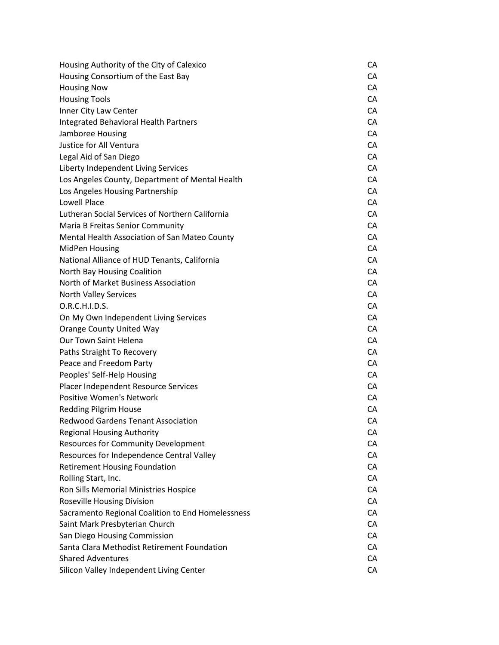| Housing Authority of the City of Calexico         | CA |
|---------------------------------------------------|----|
| Housing Consortium of the East Bay                | CA |
| <b>Housing Now</b>                                | CA |
| <b>Housing Tools</b>                              | CA |
| Inner City Law Center                             | CA |
| Integrated Behavioral Health Partners             | CA |
| Jamboree Housing                                  | CA |
| Justice for All Ventura                           | CA |
| Legal Aid of San Diego                            | CA |
| Liberty Independent Living Services               | CA |
| Los Angeles County, Department of Mental Health   | CA |
| Los Angeles Housing Partnership                   | CA |
| <b>Lowell Place</b>                               | CA |
| Lutheran Social Services of Northern California   | CA |
| Maria B Freitas Senior Community                  | CA |
| Mental Health Association of San Mateo County     | CA |
| <b>MidPen Housing</b>                             | CA |
| National Alliance of HUD Tenants, California      | CA |
| North Bay Housing Coalition                       | CA |
| North of Market Business Association              | CA |
| North Valley Services                             | CA |
| O.R.C.H.I.D.S.                                    | CA |
| On My Own Independent Living Services             | CA |
| <b>Orange County United Way</b>                   | CA |
| Our Town Saint Helena                             | CA |
| Paths Straight To Recovery                        | CA |
| Peace and Freedom Party                           | CA |
| Peoples' Self-Help Housing                        | CA |
| Placer Independent Resource Services              | CA |
| <b>Positive Women's Network</b>                   | CA |
| <b>Redding Pilgrim House</b>                      | CA |
| <b>Redwood Gardens Tenant Association</b>         | СA |
| <b>Regional Housing Authority</b>                 | CA |
| <b>Resources for Community Development</b>        | CA |
| Resources for Independence Central Valley         | CA |
| <b>Retirement Housing Foundation</b>              | CA |
| Rolling Start, Inc.                               | CA |
| Ron Sills Memorial Ministries Hospice             | CA |
| <b>Roseville Housing Division</b>                 | CA |
| Sacramento Regional Coalition to End Homelessness | CA |
| Saint Mark Presbyterian Church                    | CA |
| San Diego Housing Commission                      | CA |
| Santa Clara Methodist Retirement Foundation       | CA |
| <b>Shared Adventures</b>                          | CA |
| Silicon Valley Independent Living Center          | CA |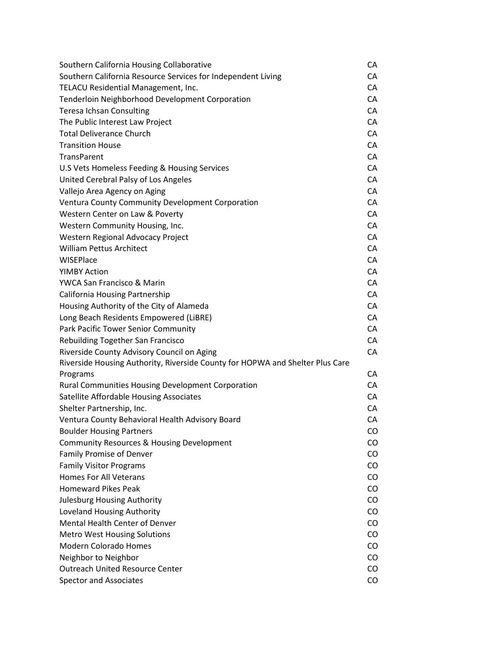| Southern California Housing Collaborative                                     | CA |
|-------------------------------------------------------------------------------|----|
| Southern California Resource Services for Independent Living                  | CA |
| TELACU Residential Management, Inc.                                           | CA |
| Tenderloin Neighborhood Development Corporation                               | CA |
| <b>Teresa Ichsan Consulting</b>                                               | CA |
| The Public Interest Law Project                                               | CA |
| <b>Total Deliverance Church</b>                                               | CA |
| <b>Transition House</b>                                                       | CA |
| <b>TransParent</b>                                                            | CA |
| U.S Vets Homeless Feeding & Housing Services                                  | CA |
| United Cerebral Palsy of Los Angeles                                          | CA |
| Vallejo Area Agency on Aging                                                  | CA |
| Ventura County Community Development Corporation                              | CA |
| Western Center on Law & Poverty                                               | CA |
| Western Community Housing, Inc.                                               | CA |
| Western Regional Advocacy Project                                             | CA |
| <b>William Pettus Architect</b>                                               | CA |
| WISEPlace                                                                     | CA |
| <b>YIMBY Action</b>                                                           | CA |
| YWCA San Francisco & Marin                                                    | CA |
| <b>California Housing Partnership</b>                                         | CA |
| Housing Authority of the City of Alameda                                      | CA |
| Long Beach Residents Empowered (LiBRE)                                        | CA |
| Park Pacific Tower Senior Community                                           | CA |
| <b>Rebuilding Together San Francisco</b>                                      | CA |
| Riverside County Advisory Council on Aging                                    | CA |
| Riverside Housing Authority, Riverside County for HOPWA and Shelter Plus Care |    |
| Programs                                                                      | CA |
| <b>Rural Communities Housing Development Corporation</b>                      | CA |
| Satellite Affordable Housing Associates                                       | CA |
| Shelter Partnership, Inc.                                                     | CA |
| Ventura County Behavioral Health Advisory Board                               | CA |
| <b>Boulder Housing Partners</b>                                               | CO |
| Community Resources & Housing Development                                     | CO |
| <b>Family Promise of Denver</b>                                               | CO |
| <b>Family Visitor Programs</b>                                                | CO |
| <b>Homes For All Veterans</b>                                                 | CO |
| <b>Homeward Pikes Peak</b>                                                    | CO |
| <b>Julesburg Housing Authority</b>                                            | CO |
| Loveland Housing Authority                                                    | CO |
| <b>Mental Health Center of Denver</b>                                         | CO |
| <b>Metro West Housing Solutions</b>                                           | CO |
| <b>Modern Colorado Homes</b>                                                  | CO |
| Neighbor to Neighbor                                                          | CO |
| <b>Outreach United Resource Center</b>                                        | CO |
| <b>Spector and Associates</b>                                                 | CO |
|                                                                               |    |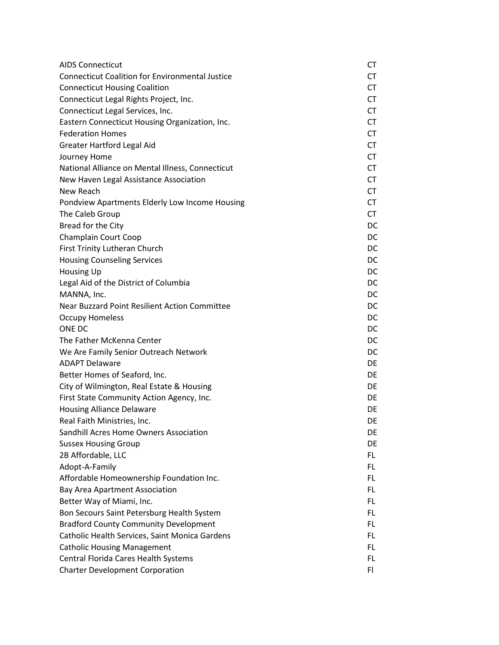| <b>AIDS Connecticut</b>                                | СT        |
|--------------------------------------------------------|-----------|
| <b>Connecticut Coalition for Environmental Justice</b> | <b>CT</b> |
| <b>Connecticut Housing Coalition</b>                   | <b>CT</b> |
| Connecticut Legal Rights Project, Inc.                 | <b>CT</b> |
| Connecticut Legal Services, Inc.                       | <b>CT</b> |
| Eastern Connecticut Housing Organization, Inc.         | <b>CT</b> |
| <b>Federation Homes</b>                                | <b>CT</b> |
| Greater Hartford Legal Aid                             | <b>CT</b> |
| Journey Home                                           | <b>CT</b> |
| National Alliance on Mental Illness, Connecticut       | <b>CT</b> |
| New Haven Legal Assistance Association                 | <b>CT</b> |
| New Reach                                              | <b>CT</b> |
| Pondview Apartments Elderly Low Income Housing         | CT        |
| The Caleb Group                                        | <b>CT</b> |
| Bread for the City                                     | DC        |
| Champlain Court Coop                                   | DC        |
| First Trinity Lutheran Church                          | DC        |
| <b>Housing Counseling Services</b>                     | DC.       |
| <b>Housing Up</b>                                      | DC        |
| Legal Aid of the District of Columbia                  | DC.       |
| MANNA, Inc.                                            | DC.       |
| Near Buzzard Point Resilient Action Committee          | DC        |
| <b>Occupy Homeless</b>                                 | DC        |
| <b>ONE DC</b>                                          | DC.       |
| The Father McKenna Center                              | DC        |
| We Are Family Senior Outreach Network                  | DC        |
| <b>ADAPT Delaware</b>                                  | DE        |
| Better Homes of Seaford, Inc.                          | DE        |
| City of Wilmington, Real Estate & Housing              | DE.       |
| First State Community Action Agency, Inc.              | DE        |
| <b>Housing Alliance Delaware</b>                       | DE        |
| Real Faith Ministries, Inc.                            | DE        |
| Sandhill Acres Home Owners Association                 | DE        |
| <b>Sussex Housing Group</b>                            | DE        |
| 2B Affordable, LLC                                     | FL.       |
| Adopt-A-Family                                         | FL        |
| Affordable Homeownership Foundation Inc.               | FL.       |
| <b>Bay Area Apartment Association</b>                  | <b>FL</b> |
| Better Way of Miami, Inc.                              | <b>FL</b> |
| Bon Secours Saint Petersburg Health System             | FL.       |
| <b>Bradford County Community Development</b>           | <b>FL</b> |
| Catholic Health Services, Saint Monica Gardens         | <b>FL</b> |
| <b>Catholic Housing Management</b>                     | <b>FL</b> |
| Central Florida Cares Health Systems                   | <b>FL</b> |
| <b>Charter Development Corporation</b>                 | F1        |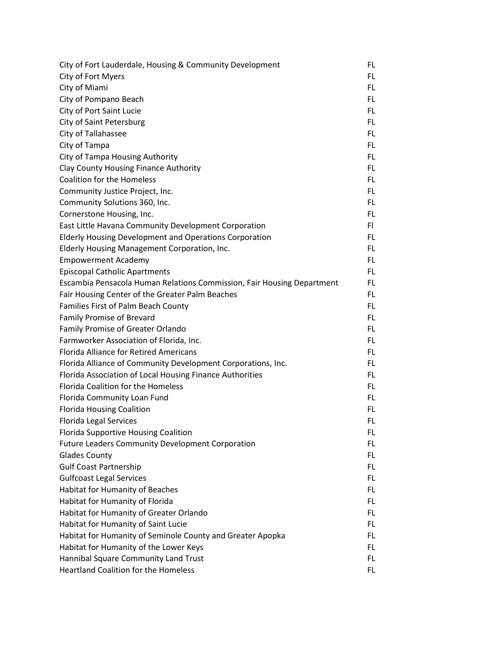| City of Fort Lauderdale, Housing & Community Development               | FL. |
|------------------------------------------------------------------------|-----|
| City of Fort Myers                                                     | FL. |
| City of Miami                                                          | FL. |
| City of Pompano Beach                                                  | FL. |
| City of Port Saint Lucie                                               | FL. |
| City of Saint Petersburg                                               | FL. |
| City of Tallahassee                                                    | FL. |
| City of Tampa                                                          | FL. |
| City of Tampa Housing Authority                                        | FL. |
| Clay County Housing Finance Authority                                  | FL. |
| <b>Coalition for the Homeless</b>                                      | FL. |
| Community Justice Project, Inc.                                        | FL. |
| Community Solutions 360, Inc.                                          | FL. |
| Cornerstone Housing, Inc.                                              | FL. |
| East Little Havana Community Development Corporation                   | FI. |
| <b>Elderly Housing Development and Operations Corporation</b>          | FL. |
| Elderly Housing Management Corporation, Inc.                           | FL. |
| <b>Empowerment Academy</b>                                             | FL. |
| <b>Episcopal Catholic Apartments</b>                                   | FL. |
| Escambia Pensacola Human Relations Commission, Fair Housing Department | FL. |
| Fair Housing Center of the Greater Palm Beaches                        | FL. |
| Families First of Palm Beach County                                    | FL. |
| Family Promise of Brevard                                              | FL. |
| Family Promise of Greater Orlando                                      | FL. |
| Farmworker Association of Florida, Inc.                                | FL. |
| <b>Florida Alliance for Retired Americans</b>                          | FL. |
| Florida Alliance of Community Development Corporations, Inc.           | FL. |
| Florida Association of Local Housing Finance Authorities               | FL. |
| <b>Florida Coalition for the Homeless</b>                              | FL. |
| Florida Community Loan Fund                                            | FL. |
| <b>Florida Housing Coalition</b>                                       | FL. |
| <b>Florida Legal Services</b>                                          | FL  |
| Florida Supportive Housing Coalition                                   | FL. |
| <b>Future Leaders Community Development Corporation</b>                | FL. |
| <b>Glades County</b>                                                   | FL. |
| <b>Gulf Coast Partnership</b>                                          | FL. |
| <b>Gulfcoast Legal Services</b>                                        | FL. |
| Habitat for Humanity of Beaches                                        | FL. |
| Habitat for Humanity of Florida                                        | FL. |
| Habitat for Humanity of Greater Orlando                                | FL. |
| Habitat for Humanity of Saint Lucie                                    | FL. |
| Habitat for Humanity of Seminole County and Greater Apopka             | FL. |
| Habitat for Humanity of the Lower Keys                                 | FL. |
| Hannibal Square Community Land Trust                                   | FL. |
| <b>Heartland Coalition for the Homeless</b>                            | FL. |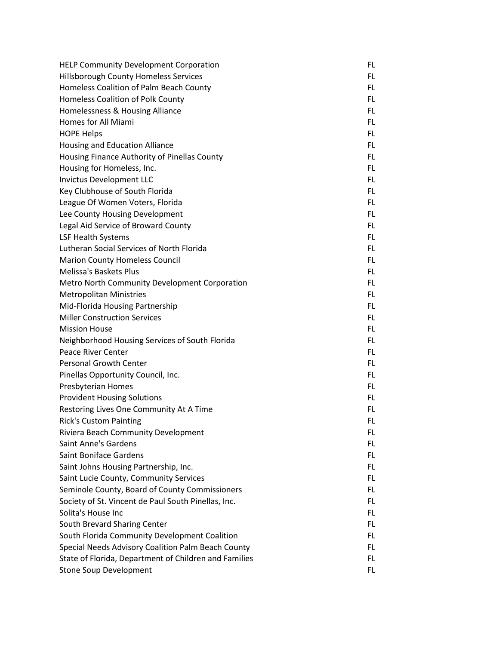| <b>HELP Community Development Corporation</b>         | FL. |
|-------------------------------------------------------|-----|
| <b>Hillsborough County Homeless Services</b>          | FL. |
| Homeless Coalition of Palm Beach County               | FL. |
| Homeless Coalition of Polk County                     | FL. |
| Homelessness & Housing Alliance                       | FL. |
| Homes for All Miami                                   | FL. |
| <b>HOPE Helps</b>                                     | FL. |
| <b>Housing and Education Alliance</b>                 | FL. |
| Housing Finance Authority of Pinellas County          | FL. |
| Housing for Homeless, Inc.                            | FL. |
| <b>Invictus Development LLC</b>                       | FL. |
| Key Clubhouse of South Florida                        | FL. |
| League Of Women Voters, Florida                       | FL. |
| Lee County Housing Development                        | FL. |
| Legal Aid Service of Broward County                   | FL. |
| <b>LSF Health Systems</b>                             | FL. |
| Lutheran Social Services of North Florida             | FL. |
| <b>Marion County Homeless Council</b>                 | FL. |
| <b>Melissa's Baskets Plus</b>                         | FL. |
| Metro North Community Development Corporation         | FL. |
| <b>Metropolitan Ministries</b>                        | FL. |
| Mid-Florida Housing Partnership                       | FL. |
| <b>Miller Construction Services</b>                   | FL. |
| <b>Mission House</b>                                  | FL. |
| Neighborhood Housing Services of South Florida        | FL. |
| <b>Peace River Center</b>                             | FL. |
| <b>Personal Growth Center</b>                         | FL. |
| Pinellas Opportunity Council, Inc.                    | FL. |
| Presbyterian Homes                                    | FL. |
| <b>Provident Housing Solutions</b>                    | FL. |
| Restoring Lives One Community At A Time               | FL. |
| <b>Rick's Custom Painting</b>                         | FL  |
| Riviera Beach Community Development                   | FL. |
| <b>Saint Anne's Gardens</b>                           | FL. |
| <b>Saint Boniface Gardens</b>                         | FL. |
| Saint Johns Housing Partnership, Inc.                 | FL. |
| Saint Lucie County, Community Services                | FL. |
| Seminole County, Board of County Commissioners        | FL. |
| Society of St. Vincent de Paul South Pinellas, Inc.   | FL. |
| Solita's House Inc                                    | FL. |
| South Brevard Sharing Center                          | FL. |
| South Florida Community Development Coalition         | FL. |
| Special Needs Advisory Coalition Palm Beach County    | FL. |
| State of Florida, Department of Children and Families | FL. |
| <b>Stone Soup Development</b>                         | FL. |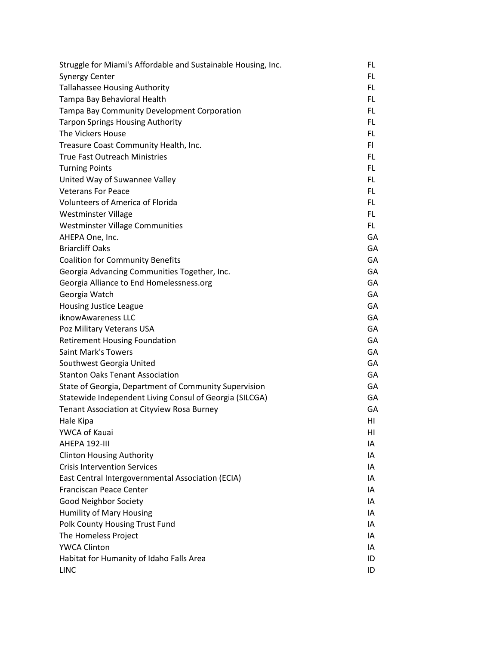| Struggle for Miami's Affordable and Sustainable Housing, Inc. | FL. |
|---------------------------------------------------------------|-----|
| <b>Synergy Center</b>                                         | FL. |
| <b>Tallahassee Housing Authority</b>                          | FL. |
| Tampa Bay Behavioral Health                                   | FL. |
| Tampa Bay Community Development Corporation                   | FL. |
| <b>Tarpon Springs Housing Authority</b>                       | FL. |
| The Vickers House                                             | FL. |
| Treasure Coast Community Health, Inc.                         | FI. |
| <b>True Fast Outreach Ministries</b>                          | FL. |
| <b>Turning Points</b>                                         | FL  |
| United Way of Suwannee Valley                                 | FL. |
| <b>Veterans For Peace</b>                                     | FL. |
| <b>Volunteers of America of Florida</b>                       | FL. |
| Westminster Village                                           | FL. |
| <b>Westminster Village Communities</b>                        | FL. |
| AHEPA One, Inc.                                               | GA  |
| <b>Briarcliff Oaks</b>                                        | GA  |
| <b>Coalition for Community Benefits</b>                       | GA  |
| Georgia Advancing Communities Together, Inc.                  | GA  |
| Georgia Alliance to End Homelessness.org                      | GA  |
| Georgia Watch                                                 | GA  |
| <b>Housing Justice League</b>                                 | GA  |
| iknowAwareness LLC                                            | GA  |
| Poz Military Veterans USA                                     | GA  |
| <b>Retirement Housing Foundation</b>                          | GA  |
| <b>Saint Mark's Towers</b>                                    | GA  |
| Southwest Georgia United                                      | GA  |
| <b>Stanton Oaks Tenant Association</b>                        | GA  |
| State of Georgia, Department of Community Supervision         | GA  |
| Statewide Independent Living Consul of Georgia (SILCGA)       | GA  |
| Tenant Association at Cityview Rosa Burney                    | GA  |
| Hale Kipa                                                     | HI  |
| YWCA of Kauai                                                 | HI  |
| AHEPA 192-III                                                 | ΙA  |
| <b>Clinton Housing Authority</b>                              | IA  |
| <b>Crisis Intervention Services</b>                           | IA  |
| East Central Intergovernmental Association (ECIA)             | ΙA  |
| <b>Franciscan Peace Center</b>                                | IA  |
| <b>Good Neighbor Society</b>                                  | IA  |
| <b>Humility of Mary Housing</b>                               | IA  |
| Polk County Housing Trust Fund                                | IA  |
| The Homeless Project                                          | IA  |
| <b>YWCA Clinton</b>                                           | IA  |
| Habitat for Humanity of Idaho Falls Area                      | ID  |
| <b>LINC</b>                                                   | ID  |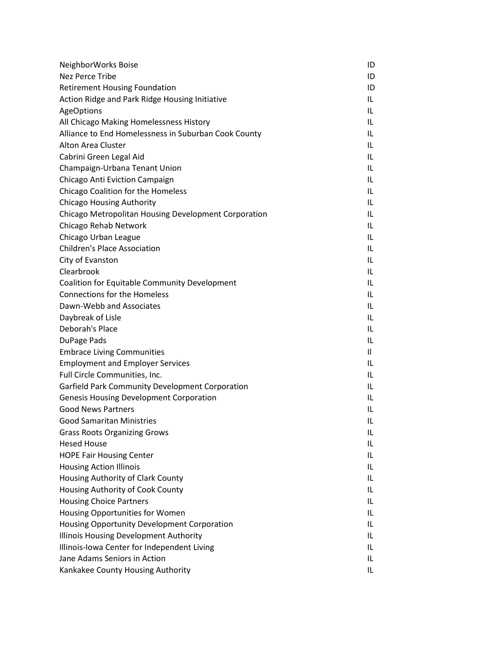| NeighborWorks Boise                                  | ID           |
|------------------------------------------------------|--------------|
| <b>Nez Perce Tribe</b>                               | ID           |
| <b>Retirement Housing Foundation</b>                 | ID           |
| Action Ridge and Park Ridge Housing Initiative       | IL           |
| <b>AgeOptions</b>                                    | IL           |
| All Chicago Making Homelessness History              | IL.          |
| Alliance to End Homelessness in Suburban Cook County | IL           |
| <b>Alton Area Cluster</b>                            | IL           |
| Cabrini Green Legal Aid                              | IL           |
| Champaign-Urbana Tenant Union                        | IL           |
| Chicago Anti Eviction Campaign                       | IL.          |
| Chicago Coalition for the Homeless                   | IL           |
| <b>Chicago Housing Authority</b>                     | IL           |
| Chicago Metropolitan Housing Development Corporation | IL           |
| Chicago Rehab Network                                | IL           |
| Chicago Urban League                                 | IL           |
| <b>Children's Place Association</b>                  | IL.          |
| City of Evanston                                     | IL           |
| Clearbrook                                           | IL           |
| Coalition for Equitable Community Development        | IL           |
| <b>Connections for the Homeless</b>                  | IL           |
| Dawn-Webb and Associates                             | IL           |
| Daybreak of Lisle                                    | IL.          |
| Deborah's Place                                      | IL           |
| DuPage Pads                                          | IL           |
| <b>Embrace Living Communities</b>                    | $\mathbf{I}$ |
| <b>Employment and Employer Services</b>              | IL           |
| Full Circle Communities, Inc.                        | IL.          |
| Garfield Park Community Development Corporation      | IL.          |
| <b>Genesis Housing Development Corporation</b>       | IL           |
| <b>Good News Partners</b>                            | IL           |
| <b>Good Samaritan Ministries</b>                     | IL           |
| <b>Grass Roots Organizing Grows</b>                  | IL           |
| <b>Hesed House</b>                                   | IL           |
| <b>HOPE Fair Housing Center</b>                      | IL           |
| <b>Housing Action Illinois</b>                       | IL           |
| Housing Authority of Clark County                    | IL.          |
| Housing Authority of Cook County                     | IL           |
| <b>Housing Choice Partners</b>                       | IL           |
| Housing Opportunities for Women                      | IL           |
| Housing Opportunity Development Corporation          | IL           |
| Illinois Housing Development Authority               | IL           |
| Illinois-Iowa Center for Independent Living          | IL.          |
| Jane Adams Seniors in Action                         | IL           |
| Kankakee County Housing Authority                    | IL.          |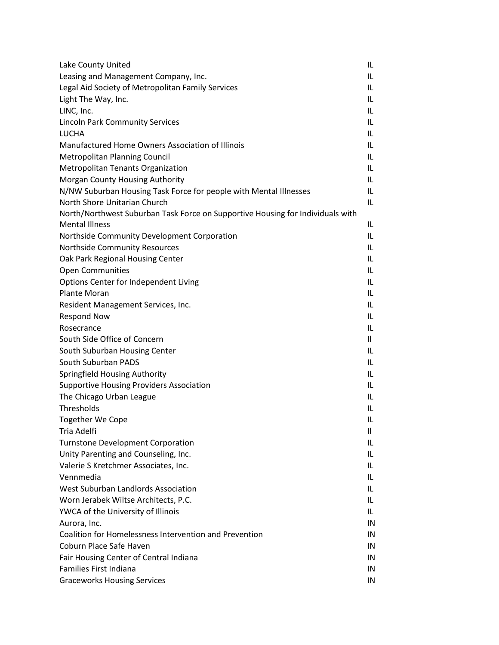| Lake County United                                                             | IL.          |
|--------------------------------------------------------------------------------|--------------|
| Leasing and Management Company, Inc.                                           | IL           |
| Legal Aid Society of Metropolitan Family Services                              | IL           |
| Light The Way, Inc.                                                            | IL           |
| LINC, Inc.                                                                     | IL           |
| <b>Lincoln Park Community Services</b>                                         | IL.          |
| <b>LUCHA</b>                                                                   | IL           |
| Manufactured Home Owners Association of Illinois                               | IL           |
| <b>Metropolitan Planning Council</b>                                           | IL           |
| <b>Metropolitan Tenants Organization</b>                                       | IL           |
| Morgan County Housing Authority                                                | IL           |
| N/NW Suburban Housing Task Force for people with Mental Illnesses              | IL           |
| North Shore Unitarian Church                                                   | IL           |
| North/Northwest Suburban Task Force on Supportive Housing for Individuals with |              |
| <b>Mental Illness</b>                                                          | IL           |
| Northside Community Development Corporation                                    | IL           |
| Northside Community Resources                                                  | IL           |
| Oak Park Regional Housing Center                                               | IL.          |
| <b>Open Communities</b>                                                        | IL           |
| Options Center for Independent Living                                          | IL           |
| <b>Plante Moran</b>                                                            | IL           |
| Resident Management Services, Inc.                                             | IL           |
| <b>Respond Now</b>                                                             | IL           |
| Rosecrance                                                                     | IL           |
| South Side Office of Concern                                                   | 11           |
| South Suburban Housing Center                                                  | IL           |
| South Suburban PADS                                                            | IL           |
| Springfield Housing Authority                                                  | IL           |
| <b>Supportive Housing Providers Association</b>                                | IL.          |
| The Chicago Urban League                                                       | IL           |
| Thresholds                                                                     | IL           |
| <b>Together We Cope</b>                                                        | IL           |
| Tria Adelfi                                                                    | $\mathbf{I}$ |
| <b>Turnstone Development Corporation</b>                                       | IL           |
| Unity Parenting and Counseling, Inc.                                           | IL           |
| Valerie S Kretchmer Associates, Inc.                                           | IL           |
| Vennmedia                                                                      | IL           |
| West Suburban Landlords Association                                            | IL.          |
| Worn Jerabek Wiltse Architects, P.C.                                           | IL.          |
| YWCA of the University of Illinois                                             | IL           |
| Aurora, Inc.                                                                   | IN           |
| Coalition for Homelessness Intervention and Prevention                         | IN           |
| Coburn Place Safe Haven                                                        | IN           |
| Fair Housing Center of Central Indiana                                         | IN           |
| Families First Indiana                                                         | IN           |
| <b>Graceworks Housing Services</b>                                             | IN           |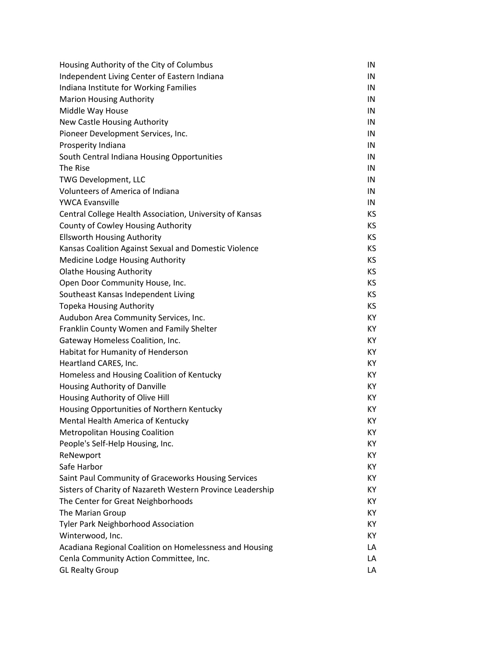| Housing Authority of the City of Columbus                  | IN        |
|------------------------------------------------------------|-----------|
| Independent Living Center of Eastern Indiana               | IN        |
| Indiana Institute for Working Families                     | IN        |
| <b>Marion Housing Authority</b>                            | IN        |
| Middle Way House                                           | IN        |
| New Castle Housing Authority                               | IN        |
| Pioneer Development Services, Inc.                         | IN        |
| Prosperity Indiana                                         | IN        |
| South Central Indiana Housing Opportunities                | IN        |
| The Rise                                                   | IN        |
| <b>TWG Development, LLC</b>                                | IN        |
| <b>Volunteers of America of Indiana</b>                    | IN        |
| <b>YWCA Evansville</b>                                     | IN        |
| Central College Health Association, University of Kansas   | KS        |
| County of Cowley Housing Authority                         | KS        |
| <b>Ellsworth Housing Authority</b>                         | KS        |
| Kansas Coalition Against Sexual and Domestic Violence      | KS        |
| Medicine Lodge Housing Authority                           | KS        |
| <b>Olathe Housing Authority</b>                            | KS        |
| Open Door Community House, Inc.                            | KS        |
| Southeast Kansas Independent Living                        | <b>KS</b> |
| <b>Topeka Housing Authority</b>                            | KS        |
| Audubon Area Community Services, Inc.                      | KY        |
| Franklin County Women and Family Shelter                   | KY        |
| Gateway Homeless Coalition, Inc.                           | KY        |
| Habitat for Humanity of Henderson                          | KY        |
| Heartland CARES, Inc.                                      | KY        |
| Homeless and Housing Coalition of Kentucky                 | KY        |
| Housing Authority of Danville                              | KY        |
| Housing Authority of Olive Hill                            | KY        |
| Housing Opportunities of Northern Kentucky                 | KY        |
| Mental Health America of Kentucky                          | ΚY        |
| <b>Metropolitan Housing Coalition</b>                      | ΚY        |
| People's Self-Help Housing, Inc.                           | ΚY        |
| ReNewport                                                  | ΚY        |
| Safe Harbor                                                | ΚY        |
| Saint Paul Community of Graceworks Housing Services        | ΚY        |
| Sisters of Charity of Nazareth Western Province Leadership | ΚY        |
| The Center for Great Neighborhoods                         | KY.       |
| The Marian Group                                           | ΚY        |
| <b>Tyler Park Neighborhood Association</b>                 | ΚY        |
| Winterwood, Inc.                                           | ΚY        |
| Acadiana Regional Coalition on Homelessness and Housing    | LA        |
| Cenla Community Action Committee, Inc.                     | LA        |
| <b>GL Realty Group</b>                                     | LA        |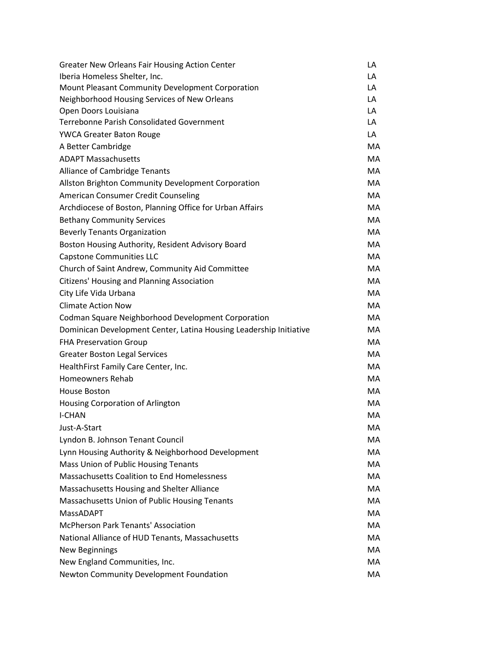| <b>Greater New Orleans Fair Housing Action Center</b>              | LA        |
|--------------------------------------------------------------------|-----------|
| Iberia Homeless Shelter, Inc.                                      | LA        |
| Mount Pleasant Community Development Corporation                   | LA        |
| Neighborhood Housing Services of New Orleans                       | LA        |
| Open Doors Louisiana                                               | LA        |
| <b>Terrebonne Parish Consolidated Government</b>                   | LA        |
| <b>YWCA Greater Baton Rouge</b>                                    | LA        |
| A Better Cambridge                                                 | МA        |
| <b>ADAPT Massachusetts</b>                                         | MA        |
| Alliance of Cambridge Tenants                                      | <b>MA</b> |
| Allston Brighton Community Development Corporation                 | MA.       |
| American Consumer Credit Counseling                                | MA        |
| Archdiocese of Boston, Planning Office for Urban Affairs           | MA        |
| <b>Bethany Community Services</b>                                  | <b>MA</b> |
| <b>Beverly Tenants Organization</b>                                | MA.       |
| Boston Housing Authority, Resident Advisory Board                  | MA        |
| <b>Capstone Communities LLC</b>                                    | MA        |
| Church of Saint Andrew, Community Aid Committee                    | <b>MA</b> |
| Citizens' Housing and Planning Association                         | MA.       |
| City Life Vida Urbana                                              | MA        |
| <b>Climate Action Now</b>                                          | MA        |
| <b>Codman Square Neighborhood Development Corporation</b>          | <b>MA</b> |
| Dominican Development Center, Latina Housing Leadership Initiative | MA.       |
| <b>FHA Preservation Group</b>                                      | MA        |
| <b>Greater Boston Legal Services</b>                               | MA        |
| HealthFirst Family Care Center, Inc.                               | MA        |
| Homeowners Rehab                                                   | MA.       |
| House Boston                                                       | MA        |
| Housing Corporation of Arlington                                   | MA        |
| <b>I-CHAN</b>                                                      | MA        |
| Just-A-Start                                                       | MA        |
| Lyndon B. Johnson Tenant Council                                   | MA        |
| Lynn Housing Authority & Neighborhood Development                  | MA        |
| Mass Union of Public Housing Tenants                               | MA        |
| <b>Massachusetts Coalition to End Homelessness</b>                 | MA        |
| Massachusetts Housing and Shelter Alliance                         | MA        |
| Massachusetts Union of Public Housing Tenants                      | MA.       |
| <b>MassADAPT</b>                                                   | MA        |
| <b>McPherson Park Tenants' Association</b>                         | MA        |
| National Alliance of HUD Tenants, Massachusetts                    | MA        |
| <b>New Beginnings</b>                                              | MA        |
| New England Communities, Inc.                                      | MA        |
| Newton Community Development Foundation                            | MA        |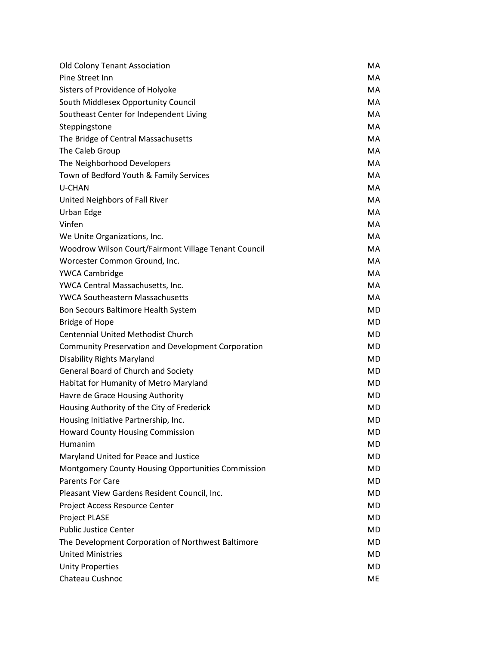| <b>Old Colony Tenant Association</b>                      | MA        |
|-----------------------------------------------------------|-----------|
| Pine Street Inn                                           | MA.       |
| Sisters of Providence of Holyoke                          | MA.       |
| South Middlesex Opportunity Council                       | MA.       |
| Southeast Center for Independent Living                   | <b>MA</b> |
| Steppingstone                                             | MA.       |
| The Bridge of Central Massachusetts                       | МA        |
| The Caleb Group                                           | <b>MA</b> |
| The Neighborhood Developers                               | <b>MA</b> |
| Town of Bedford Youth & Family Services                   | <b>MA</b> |
| <b>U-CHAN</b>                                             | МA        |
| United Neighbors of Fall River                            | <b>MA</b> |
| Urban Edge                                                | <b>MA</b> |
| Vinfen                                                    | <b>MA</b> |
| We Unite Organizations, Inc.                              | МA        |
| Woodrow Wilson Court/Fairmont Village Tenant Council      | <b>MA</b> |
| Worcester Common Ground, Inc.                             | <b>MA</b> |
| <b>YWCA Cambridge</b>                                     | <b>MA</b> |
| YWCA Central Massachusetts, Inc.                          | МA        |
| <b>YWCA Southeastern Massachusetts</b>                    | <b>MA</b> |
| Bon Secours Baltimore Health System                       | <b>MD</b> |
| <b>Bridge of Hope</b>                                     | <b>MD</b> |
| <b>Centennial United Methodist Church</b>                 | <b>MD</b> |
| <b>Community Preservation and Development Corporation</b> | <b>MD</b> |
| <b>Disability Rights Maryland</b>                         | <b>MD</b> |
| General Board of Church and Society                       | <b>MD</b> |
| Habitat for Humanity of Metro Maryland                    | <b>MD</b> |
| Havre de Grace Housing Authority                          | <b>MD</b> |
| Housing Authority of the City of Frederick                | MD        |
| Housing Initiative Partnership, Inc.                      | <b>MD</b> |
| <b>Howard County Housing Commission</b>                   | MD        |
| Humanim                                                   | MD        |
| Maryland United for Peace and Justice                     | MD        |
| <b>Montgomery County Housing Opportunities Commission</b> | MD.       |
| <b>Parents For Care</b>                                   | MD        |
| Pleasant View Gardens Resident Council, Inc.              | <b>MD</b> |
| Project Access Resource Center                            | MD        |
| <b>Project PLASE</b>                                      | MD        |
| <b>Public Justice Center</b>                              | MD        |
| The Development Corporation of Northwest Baltimore        | <b>MD</b> |
| <b>United Ministries</b>                                  | MD        |
| <b>Unity Properties</b>                                   | MD        |
| Chateau Cushnoc                                           | <b>ME</b> |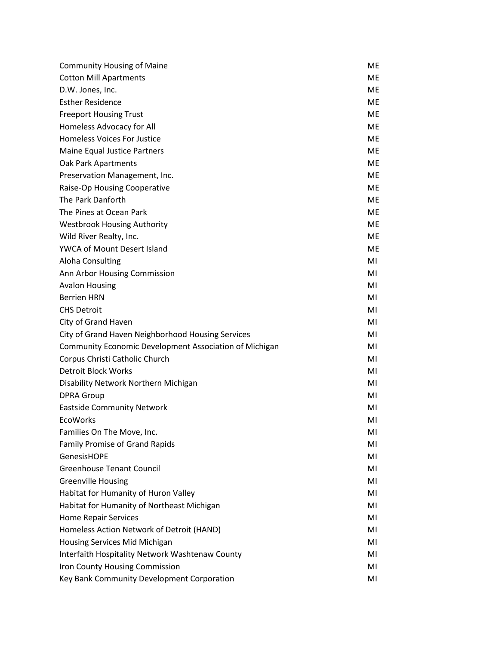| <b>Community Housing of Maine</b>                      | <b>ME</b> |
|--------------------------------------------------------|-----------|
| <b>Cotton Mill Apartments</b>                          | <b>ME</b> |
| D.W. Jones, Inc.                                       | ME        |
| <b>Esther Residence</b>                                | <b>ME</b> |
| <b>Freeport Housing Trust</b>                          | <b>ME</b> |
| Homeless Advocacy for All                              | <b>ME</b> |
| <b>Homeless Voices For Justice</b>                     | <b>ME</b> |
| Maine Equal Justice Partners                           | <b>ME</b> |
| Oak Park Apartments                                    | <b>ME</b> |
| Preservation Management, Inc.                          | <b>ME</b> |
| Raise-Op Housing Cooperative                           | <b>ME</b> |
| The Park Danforth                                      | <b>ME</b> |
| The Pines at Ocean Park                                | <b>ME</b> |
| <b>Westbrook Housing Authority</b>                     | <b>ME</b> |
| Wild River Realty, Inc.                                | <b>ME</b> |
| <b>YWCA of Mount Desert Island</b>                     | <b>ME</b> |
| Aloha Consulting                                       | MI        |
| Ann Arbor Housing Commission                           | MI        |
| <b>Avalon Housing</b>                                  | MI        |
| <b>Berrien HRN</b>                                     | MI        |
| <b>CHS Detroit</b>                                     | MI        |
| City of Grand Haven                                    | MI        |
| City of Grand Haven Neighborhood Housing Services      | MI        |
| Community Economic Development Association of Michigan | MI        |
| Corpus Christi Catholic Church                         | MI        |
| <b>Detroit Block Works</b>                             | MI        |
| Disability Network Northern Michigan                   | MI        |
| <b>DPRA Group</b>                                      | MI        |
| <b>Eastside Community Network</b>                      | MI        |
| <b>EcoWorks</b>                                        | MI        |
| Families On The Move, Inc.                             | MI        |
| Family Promise of Grand Rapids                         | MI        |
| <b>GenesisHOPE</b>                                     | MI        |
| <b>Greenhouse Tenant Council</b>                       | MI        |
| <b>Greenville Housing</b>                              | MI        |
| Habitat for Humanity of Huron Valley                   | MI        |
| Habitat for Humanity of Northeast Michigan             | MI        |
| <b>Home Repair Services</b>                            | MI        |
| Homeless Action Network of Detroit (HAND)              | MI        |
| Housing Services Mid Michigan                          | MI        |
| Interfaith Hospitality Network Washtenaw County        | MI        |
| Iron County Housing Commission                         | MI        |
| Key Bank Community Development Corporation             | MI        |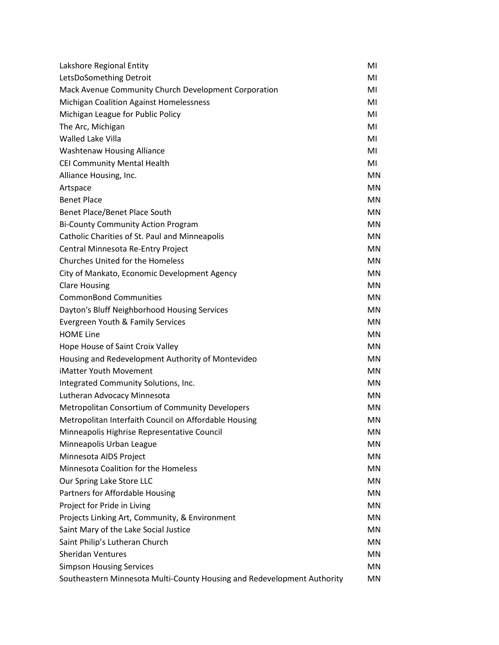| Lakshore Regional Entity                                                | MI        |
|-------------------------------------------------------------------------|-----------|
| LetsDoSomething Detroit                                                 | MI        |
| Mack Avenue Community Church Development Corporation                    | MI        |
| <b>Michigan Coalition Against Homelessness</b>                          | MI        |
| Michigan League for Public Policy                                       | MI        |
| The Arc, Michigan                                                       | MI        |
| <b>Walled Lake Villa</b>                                                | MI        |
| Washtenaw Housing Alliance                                              | MI        |
| CEI Community Mental Health                                             | MI        |
| Alliance Housing, Inc.                                                  | <b>MN</b> |
| Artspace                                                                | <b>MN</b> |
| <b>Benet Place</b>                                                      | MN        |
| Benet Place/Benet Place South                                           | <b>MN</b> |
| <b>Bi-County Community Action Program</b>                               | <b>MN</b> |
| Catholic Charities of St. Paul and Minneapolis                          | <b>MN</b> |
| Central Minnesota Re-Entry Project                                      | <b>MN</b> |
| <b>Churches United for the Homeless</b>                                 | <b>MN</b> |
| City of Mankato, Economic Development Agency                            | <b>MN</b> |
| <b>Clare Housing</b>                                                    | <b>MN</b> |
| <b>CommonBond Communities</b>                                           | MN        |
| Dayton's Bluff Neighborhood Housing Services                            | MN        |
| Evergreen Youth & Family Services                                       | <b>MN</b> |
| <b>HOME Line</b>                                                        | <b>MN</b> |
| Hope House of Saint Croix Valley                                        | <b>MN</b> |
| Housing and Redevelopment Authority of Montevideo                       | <b>MN</b> |
| iMatter Youth Movement                                                  | <b>MN</b> |
| Integrated Community Solutions, Inc.                                    | <b>MN</b> |
| Lutheran Advocacy Minnesota                                             | <b>MN</b> |
| Metropolitan Consortium of Community Developers                         | MN        |
| Metropolitan Interfaith Council on Affordable Housing                   | MN        |
| Minneapolis Highrise Representative Council                             | MN        |
| Minneapolis Urban League                                                | MN        |
| Minnesota AIDS Project                                                  | MN        |
| Minnesota Coalition for the Homeless                                    | MN        |
| Our Spring Lake Store LLC                                               | MN        |
| Partners for Affordable Housing                                         | MN        |
| Project for Pride in Living                                             | MN        |
| Projects Linking Art, Community, & Environment                          | MN        |
| Saint Mary of the Lake Social Justice                                   | MN        |
| Saint Philip's Lutheran Church                                          | MN        |
| <b>Sheridan Ventures</b>                                                | MN        |
| <b>Simpson Housing Services</b>                                         | MN        |
| Southeastern Minnesota Multi-County Housing and Redevelopment Authority | MN        |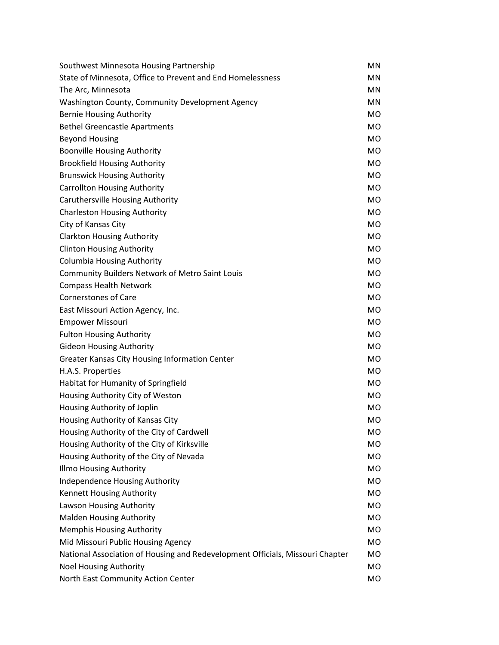| Southwest Minnesota Housing Partnership                                       | <b>MN</b> |
|-------------------------------------------------------------------------------|-----------|
| State of Minnesota, Office to Prevent and End Homelessness                    | <b>MN</b> |
| The Arc, Minnesota                                                            | <b>MN</b> |
| Washington County, Community Development Agency                               | <b>MN</b> |
| <b>Bernie Housing Authority</b>                                               | <b>MO</b> |
| <b>Bethel Greencastle Apartments</b>                                          | <b>MO</b> |
| <b>Beyond Housing</b>                                                         | <b>MO</b> |
| <b>Boonville Housing Authority</b>                                            | <b>MO</b> |
| <b>Brookfield Housing Authority</b>                                           | <b>MO</b> |
| <b>Brunswick Housing Authority</b>                                            | <b>MO</b> |
| <b>Carrollton Housing Authority</b>                                           | <b>MO</b> |
| Caruthersville Housing Authority                                              | <b>MO</b> |
| <b>Charleston Housing Authority</b>                                           | <b>MO</b> |
| City of Kansas City                                                           | <b>MO</b> |
| <b>Clarkton Housing Authority</b>                                             | <b>MO</b> |
| <b>Clinton Housing Authority</b>                                              | <b>MO</b> |
| <b>Columbia Housing Authority</b>                                             | <b>MO</b> |
| <b>Community Builders Network of Metro Saint Louis</b>                        | <b>MO</b> |
| <b>Compass Health Network</b>                                                 | <b>MO</b> |
| <b>Cornerstones of Care</b>                                                   | <b>MO</b> |
| East Missouri Action Agency, Inc.                                             | <b>MO</b> |
| <b>Empower Missouri</b>                                                       | <b>MO</b> |
| <b>Fulton Housing Authority</b>                                               | <b>MO</b> |
| <b>Gideon Housing Authority</b>                                               | <b>MO</b> |
| Greater Kansas City Housing Information Center                                | <b>MO</b> |
| H.A.S. Properties                                                             | <b>MO</b> |
| Habitat for Humanity of Springfield                                           | <b>MO</b> |
| Housing Authority City of Weston                                              | <b>MO</b> |
| Housing Authority of Joplin                                                   | <b>MO</b> |
| Housing Authority of Kansas City                                              | <b>MO</b> |
| Housing Authority of the City of Cardwell                                     | <b>MO</b> |
| Housing Authority of the City of Kirksville                                   | <b>MO</b> |
| Housing Authority of the City of Nevada                                       | <b>MO</b> |
| <b>Illmo Housing Authority</b>                                                | <b>MO</b> |
| Independence Housing Authority                                                | <b>MO</b> |
| Kennett Housing Authority                                                     | <b>MO</b> |
| Lawson Housing Authority                                                      | <b>MO</b> |
| <b>Malden Housing Authority</b>                                               | <b>MO</b> |
| Memphis Housing Authority                                                     | <b>MO</b> |
| Mid Missouri Public Housing Agency                                            | <b>MO</b> |
| National Association of Housing and Redevelopment Officials, Missouri Chapter | <b>MO</b> |
| <b>Noel Housing Authority</b>                                                 | <b>MO</b> |
| North East Community Action Center                                            | <b>MO</b> |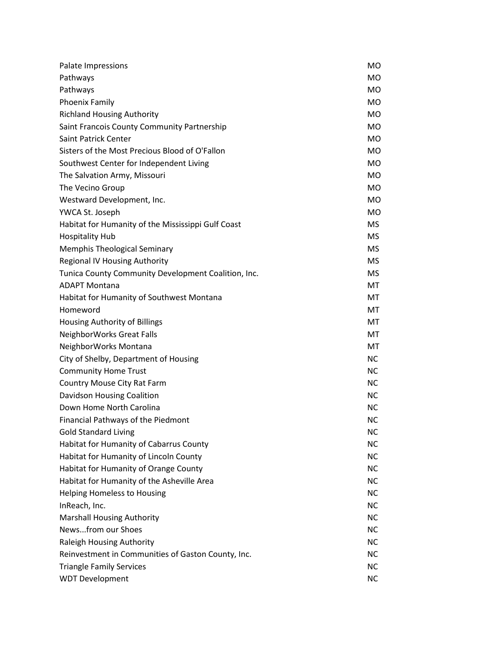| Palate Impressions                                  | MO        |
|-----------------------------------------------------|-----------|
| Pathways                                            | <b>MO</b> |
| Pathways                                            | <b>MO</b> |
| Phoenix Family                                      | <b>MO</b> |
| <b>Richland Housing Authority</b>                   | <b>MO</b> |
| Saint Francois County Community Partnership         | <b>MO</b> |
| Saint Patrick Center                                | <b>MO</b> |
| Sisters of the Most Precious Blood of O'Fallon      | <b>MO</b> |
| Southwest Center for Independent Living             | <b>MO</b> |
| The Salvation Army, Missouri                        | <b>MO</b> |
| The Vecino Group                                    | <b>MO</b> |
| Westward Development, Inc.                          | <b>MO</b> |
| YWCA St. Joseph                                     | <b>MO</b> |
| Habitat for Humanity of the Mississippi Gulf Coast  | <b>MS</b> |
| <b>Hospitality Hub</b>                              | <b>MS</b> |
| <b>Memphis Theological Seminary</b>                 | <b>MS</b> |
| <b>Regional IV Housing Authority</b>                | <b>MS</b> |
| Tunica County Community Development Coalition, Inc. | <b>MS</b> |
| <b>ADAPT Montana</b>                                | MT        |
| Habitat for Humanity of Southwest Montana           | MT        |
| Homeword                                            | MT        |
| Housing Authority of Billings                       | MT        |
| NeighborWorks Great Falls                           | MT        |
| NeighborWorks Montana                               | MT        |
| City of Shelby, Department of Housing               | <b>NC</b> |
| <b>Community Home Trust</b>                         | <b>NC</b> |
| Country Mouse City Rat Farm                         | <b>NC</b> |
| <b>Davidson Housing Coalition</b>                   | <b>NC</b> |
| Down Home North Carolina                            | <b>NC</b> |
| Financial Pathways of the Piedmont                  | <b>NC</b> |
| <b>Gold Standard Living</b>                         | ΝC        |
| Habitat for Humanity of Cabarrus County             | <b>NC</b> |
| Habitat for Humanity of Lincoln County              | <b>NC</b> |
| Habitat for Humanity of Orange County               | <b>NC</b> |
| Habitat for Humanity of the Asheville Area          | <b>NC</b> |
| <b>Helping Homeless to Housing</b>                  | <b>NC</b> |
| InReach, Inc.                                       | <b>NC</b> |
| <b>Marshall Housing Authority</b>                   | <b>NC</b> |
| Newsfrom our Shoes                                  | <b>NC</b> |
| Raleigh Housing Authority                           | <b>NC</b> |
| Reinvestment in Communities of Gaston County, Inc.  | <b>NC</b> |
| <b>Triangle Family Services</b>                     | <b>NC</b> |
| <b>WDT Development</b>                              | <b>NC</b> |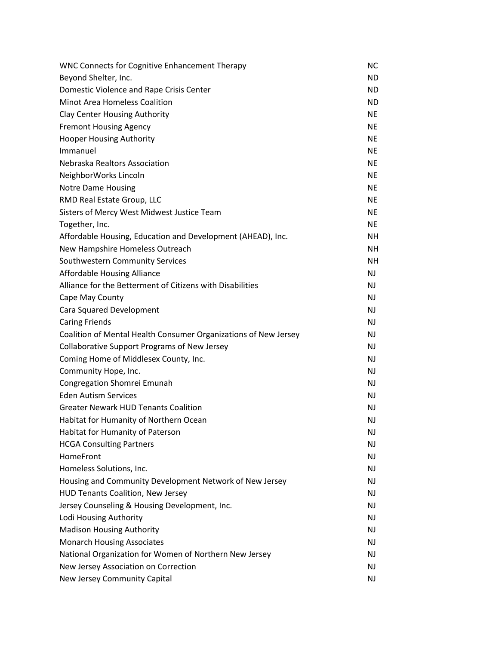| <b>WNC Connects for Cognitive Enhancement Therapy</b>           | <b>NC</b>      |
|-----------------------------------------------------------------|----------------|
| Beyond Shelter, Inc.                                            | ND.            |
| Domestic Violence and Rape Crisis Center                        | ND.            |
| Minot Area Homeless Coalition                                   | ND.            |
| <b>Clay Center Housing Authority</b>                            | <b>NE</b>      |
| <b>Fremont Housing Agency</b>                                   | <b>NE</b>      |
| <b>Hooper Housing Authority</b>                                 | <b>NE</b>      |
| Immanuel                                                        | <b>NE</b>      |
| Nebraska Realtors Association                                   | <b>NE</b>      |
| NeighborWorks Lincoln                                           | <b>NE</b>      |
| <b>Notre Dame Housing</b>                                       | <b>NE</b>      |
| RMD Real Estate Group, LLC                                      | <b>NE</b>      |
| Sisters of Mercy West Midwest Justice Team                      | <b>NE</b>      |
| Together, Inc.                                                  | <b>NE</b>      |
| Affordable Housing, Education and Development (AHEAD), Inc.     | NΗ             |
| New Hampshire Homeless Outreach                                 | NH.            |
| Southwestern Community Services                                 | <b>NH</b>      |
| <b>Affordable Housing Alliance</b>                              | <b>NJ</b>      |
| Alliance for the Betterment of Citizens with Disabilities       | <b>NJ</b>      |
| Cape May County                                                 | N <sub>J</sub> |
| Cara Squared Development                                        | NJ.            |
| <b>Caring Friends</b>                                           | <b>NJ</b>      |
| Coalition of Mental Health Consumer Organizations of New Jersey | <b>NJ</b>      |
| <b>Collaborative Support Programs of New Jersey</b>             | N <sub>J</sub> |
| Coming Home of Middlesex County, Inc.                           | NJ.            |
| Community Hope, Inc.                                            | <b>NJ</b>      |
| Congregation Shomrei Emunah                                     | <b>NJ</b>      |
| <b>Eden Autism Services</b>                                     | NJ.            |
| <b>Greater Newark HUD Tenants Coalition</b>                     | NJ.            |
| Habitat for Humanity of Northern Ocean                          | <b>NJ</b>      |
| Habitat for Humanity of Paterson                                | <b>NJ</b>      |
| <b>HCGA Consulting Partners</b>                                 | NJ             |
| HomeFront                                                       | NJ             |
| Homeless Solutions, Inc.                                        | NJ.            |
| Housing and Community Development Network of New Jersey         | NJ.            |
| <b>HUD Tenants Coalition, New Jersey</b>                        | <b>NJ</b>      |
| Jersey Counseling & Housing Development, Inc.                   | NJ.            |
| Lodi Housing Authority                                          | NJ.            |
| <b>Madison Housing Authority</b>                                | NJ.            |
| <b>Monarch Housing Associates</b>                               | <b>NJ</b>      |
| National Organization for Women of Northern New Jersey          | NJ             |
| New Jersey Association on Correction                            | NJ             |
| New Jersey Community Capital                                    | NJ             |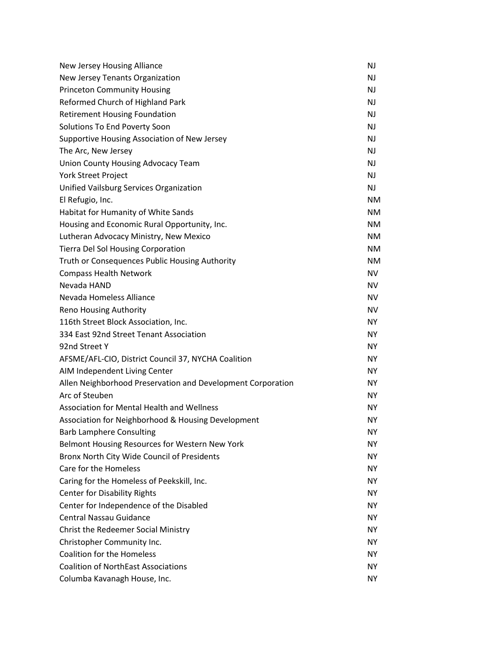| New Jersey Housing Alliance                                 | <b>NJ</b> |
|-------------------------------------------------------------|-----------|
| New Jersey Tenants Organization                             | <b>NJ</b> |
| <b>Princeton Community Housing</b>                          | <b>NJ</b> |
| Reformed Church of Highland Park                            | <b>NJ</b> |
| <b>Retirement Housing Foundation</b>                        | <b>NJ</b> |
| Solutions To End Poverty Soon                               | <b>NJ</b> |
| Supportive Housing Association of New Jersey                | <b>NJ</b> |
| The Arc, New Jersey                                         | <b>NJ</b> |
| Union County Housing Advocacy Team                          | <b>NJ</b> |
| York Street Project                                         | <b>NJ</b> |
| Unified Vailsburg Services Organization                     | <b>NJ</b> |
| El Refugio, Inc.                                            | <b>NM</b> |
| Habitat for Humanity of White Sands                         | <b>NM</b> |
| Housing and Economic Rural Opportunity, Inc.                | <b>NM</b> |
| Lutheran Advocacy Ministry, New Mexico                      | <b>NM</b> |
| <b>Tierra Del Sol Housing Corporation</b>                   | <b>NM</b> |
| Truth or Consequences Public Housing Authority              | <b>NM</b> |
| <b>Compass Health Network</b>                               | <b>NV</b> |
| Nevada HAND                                                 | <b>NV</b> |
| Nevada Homeless Alliance                                    | <b>NV</b> |
| Reno Housing Authority                                      | <b>NV</b> |
| 116th Street Block Association, Inc.                        | <b>NY</b> |
| 334 East 92nd Street Tenant Association                     | <b>NY</b> |
| 92nd Street Y                                               | <b>NY</b> |
| AFSME/AFL-CIO, District Council 37, NYCHA Coalition         | <b>NY</b> |
| AIM Independent Living Center                               | <b>NY</b> |
| Allen Neighborhood Preservation and Development Corporation | <b>NY</b> |
| Arc of Steuben                                              | <b>NY</b> |
| Association for Mental Health and Wellness                  | <b>NY</b> |
| Association for Neighborhood & Housing Development          | <b>NY</b> |
| <b>Barb Lamphere Consulting</b>                             | <b>NY</b> |
| Belmont Housing Resources for Western New York              | NY.       |
| Bronx North City Wide Council of Presidents                 | <b>NY</b> |
| Care for the Homeless                                       | <b>NY</b> |
| Caring for the Homeless of Peekskill, Inc.                  | <b>NY</b> |
| <b>Center for Disability Rights</b>                         | NY.       |
| Center for Independence of the Disabled                     | <b>NY</b> |
| <b>Central Nassau Guidance</b>                              | <b>NY</b> |
| Christ the Redeemer Social Ministry                         | <b>NY</b> |
| Christopher Community Inc.                                  | <b>NY</b> |
| <b>Coalition for the Homeless</b>                           | <b>NY</b> |
| <b>Coalition of NorthEast Associations</b>                  | <b>NY</b> |
| Columba Kavanagh House, Inc.                                | <b>NY</b> |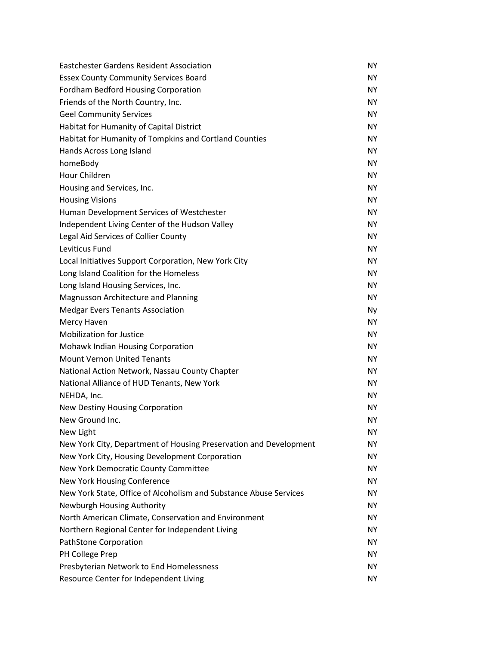| Eastchester Gardens Resident Association                          | <b>NY</b> |
|-------------------------------------------------------------------|-----------|
| <b>Essex County Community Services Board</b>                      | <b>NY</b> |
| Fordham Bedford Housing Corporation                               | <b>NY</b> |
| Friends of the North Country, Inc.                                | <b>NY</b> |
| <b>Geel Community Services</b>                                    | <b>NY</b> |
| Habitat for Humanity of Capital District                          | <b>NY</b> |
| Habitat for Humanity of Tompkins and Cortland Counties            | <b>NY</b> |
| Hands Across Long Island                                          | <b>NY</b> |
| homeBody                                                          | <b>NY</b> |
| Hour Children                                                     | <b>NY</b> |
| Housing and Services, Inc.                                        | <b>NY</b> |
| <b>Housing Visions</b>                                            | <b>NY</b> |
| Human Development Services of Westchester                         | <b>NY</b> |
| Independent Living Center of the Hudson Valley                    | <b>NY</b> |
| Legal Aid Services of Collier County                              | <b>NY</b> |
| <b>Leviticus Fund</b>                                             | <b>NY</b> |
| Local Initiatives Support Corporation, New York City              | <b>NY</b> |
| Long Island Coalition for the Homeless                            | <b>NY</b> |
| Long Island Housing Services, Inc.                                | <b>NY</b> |
| Magnusson Architecture and Planning                               | <b>NY</b> |
| <b>Medgar Evers Tenants Association</b>                           | <b>Ny</b> |
| Mercy Haven                                                       | <b>NY</b> |
| <b>Mobilization for Justice</b>                                   | <b>NY</b> |
| Mohawk Indian Housing Corporation                                 | <b>NY</b> |
| <b>Mount Vernon United Tenants</b>                                | <b>NY</b> |
| National Action Network, Nassau County Chapter                    | <b>NY</b> |
| National Alliance of HUD Tenants, New York                        | <b>NY</b> |
| NEHDA, Inc.                                                       | <b>NY</b> |
| New Destiny Housing Corporation                                   | <b>NY</b> |
| New Ground Inc.                                                   | <b>NY</b> |
| New Light                                                         | ΝY        |
| New York City, Department of Housing Preservation and Development | NY.       |
| New York City, Housing Development Corporation                    | <b>NY</b> |
| New York Democratic County Committee                              | <b>NY</b> |
| New York Housing Conference                                       | NY.       |
| New York State, Office of Alcoholism and Substance Abuse Services | NY.       |
| Newburgh Housing Authority                                        | <b>NY</b> |
| North American Climate, Conservation and Environment              | <b>NY</b> |
| Northern Regional Center for Independent Living                   | NY.       |
| PathStone Corporation                                             | NY.       |
| PH College Prep                                                   | <b>NY</b> |
| Presbyterian Network to End Homelessness                          | NY.       |
| Resource Center for Independent Living                            | NY.       |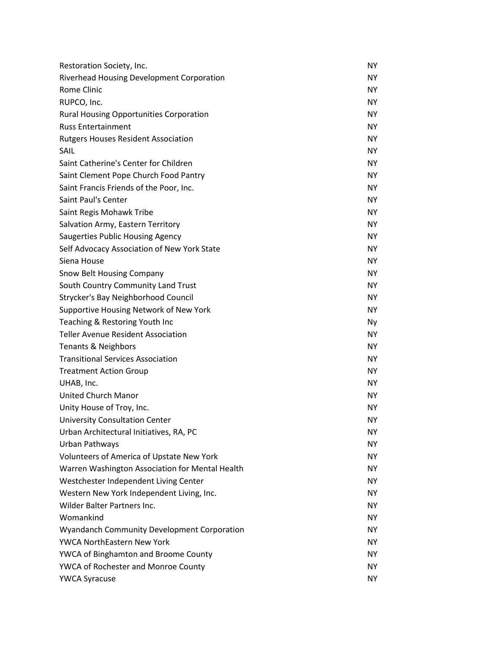| Restoration Society, Inc.                          | <b>NY</b> |
|----------------------------------------------------|-----------|
| <b>Riverhead Housing Development Corporation</b>   | NY.       |
| Rome Clinic                                        | NY.       |
| RUPCO, Inc.                                        | <b>NY</b> |
| <b>Rural Housing Opportunities Corporation</b>     | <b>NY</b> |
| <b>Russ Entertainment</b>                          | <b>NY</b> |
| <b>Rutgers Houses Resident Association</b>         | NY.       |
| SAIL                                               | <b>NY</b> |
| Saint Catherine's Center for Children              | <b>NY</b> |
| Saint Clement Pope Church Food Pantry              | <b>NY</b> |
| Saint Francis Friends of the Poor, Inc.            | NY.       |
| Saint Paul's Center                                | <b>NY</b> |
| Saint Regis Mohawk Tribe                           | <b>NY</b> |
| Salvation Army, Eastern Territory                  | <b>NY</b> |
| Saugerties Public Housing Agency                   | NY.       |
| Self Advocacy Association of New York State        | <b>NY</b> |
| Siena House                                        | <b>NY</b> |
| Snow Belt Housing Company                          | <b>NY</b> |
| South Country Community Land Trust                 | NY.       |
| Strycker's Bay Neighborhood Council                | <b>NY</b> |
| Supportive Housing Network of New York             | <b>NY</b> |
| Teaching & Restoring Youth Inc                     | Ny        |
| <b>Teller Avenue Resident Association</b>          | NY.       |
| <b>Tenants &amp; Neighbors</b>                     | <b>NY</b> |
| <b>Transitional Services Association</b>           | <b>NY</b> |
| <b>Treatment Action Group</b>                      | <b>NY</b> |
| UHAB, Inc.                                         | NY.       |
| United Church Manor                                | NY.       |
| Unity House of Troy, Inc.                          | NY.       |
| <b>University Consultation Center</b>              | <b>NY</b> |
| Urban Architectural Initiatives, RA, PC            | <b>NY</b> |
| Urban Pathways                                     | <b>NY</b> |
| Volunteers of America of Upstate New York          | NY.       |
| Warren Washington Association for Mental Health    | <b>NY</b> |
| Westchester Independent Living Center              | <b>NY</b> |
| Western New York Independent Living, Inc.          | <b>NY</b> |
| Wilder Balter Partners Inc.                        | <b>NY</b> |
| Womankind                                          | <b>NY</b> |
| <b>Wyandanch Community Development Corporation</b> | <b>NY</b> |
| <b>YWCA NorthEastern New York</b>                  | <b>NY</b> |
| <b>YWCA of Binghamton and Broome County</b>        | NY.       |
| <b>YWCA of Rochester and Monroe County</b>         | NY.       |
| <b>YWCA Syracuse</b>                               | NY.       |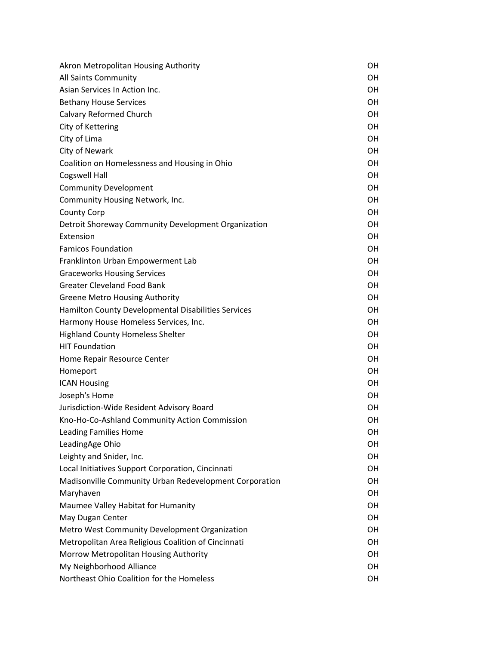| Akron Metropolitan Housing Authority                   | OН        |
|--------------------------------------------------------|-----------|
| All Saints Community                                   | 0H        |
| Asian Services In Action Inc.                          | <b>OH</b> |
| <b>Bethany House Services</b>                          | 0H        |
| Calvary Reformed Church                                | <b>OH</b> |
| City of Kettering                                      | <b>OH</b> |
| City of Lima                                           | <b>OH</b> |
| City of Newark                                         | <b>OH</b> |
| Coalition on Homelessness and Housing in Ohio          | <b>OH</b> |
| <b>Cogswell Hall</b>                                   | <b>OH</b> |
| <b>Community Development</b>                           | <b>OH</b> |
| Community Housing Network, Inc.                        | <b>OH</b> |
| <b>County Corp</b>                                     | <b>OH</b> |
| Detroit Shoreway Community Development Organization    | <b>OH</b> |
| <b>Fxtension</b>                                       | <b>OH</b> |
| <b>Famicos Foundation</b>                              | <b>OH</b> |
| Franklinton Urban Empowerment Lab                      | <b>OH</b> |
| <b>Graceworks Housing Services</b>                     | <b>OH</b> |
| <b>Greater Cleveland Food Bank</b>                     | <b>OH</b> |
| <b>Greene Metro Housing Authority</b>                  | <b>OH</b> |
| Hamilton County Developmental Disabilities Services    | <b>OH</b> |
| Harmony House Homeless Services, Inc.                  | <b>OH</b> |
| <b>Highland County Homeless Shelter</b>                | <b>OH</b> |
| <b>HIT Foundation</b>                                  | <b>OH</b> |
| Home Repair Resource Center                            | <b>OH</b> |
| Homeport                                               | <b>OH</b> |
| <b>ICAN Housing</b>                                    | <b>OH</b> |
| Joseph's Home                                          | OH        |
| Jurisdiction-Wide Resident Advisory Board              | OH        |
| Kno-Ho-Co-Ashland Community Action Commission          | OН        |
| <b>Leading Families Home</b>                           | OН        |
| LeadingAge Ohio                                        | OH        |
| Leighty and Snider, Inc.                               | <b>OH</b> |
| Local Initiatives Support Corporation, Cincinnati      | OH        |
| Madisonville Community Urban Redevelopment Corporation | <b>OH</b> |
| Maryhaven                                              | OH        |
| Maumee Valley Habitat for Humanity                     | OH        |
| May Dugan Center                                       | OH        |
| Metro West Community Development Organization          | <b>OH</b> |
| Metropolitan Area Religious Coalition of Cincinnati    | <b>OH</b> |
| Morrow Metropolitan Housing Authority                  | <b>OH</b> |
| My Neighborhood Alliance                               | OH        |
| Northeast Ohio Coalition for the Homeless              | OH        |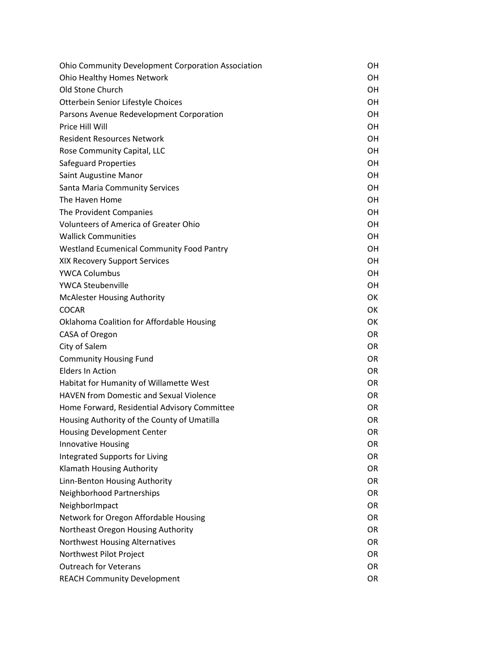| <b>Ohio Community Development Corporation Association</b> | OН        |
|-----------------------------------------------------------|-----------|
| Ohio Healthy Homes Network                                | 0H        |
| Old Stone Church                                          | OH        |
| Otterbein Senior Lifestyle Choices                        | 0H        |
| Parsons Avenue Redevelopment Corporation                  | OH        |
| Price Hill Will                                           | OH        |
| <b>Resident Resources Network</b>                         | OH        |
| Rose Community Capital, LLC                               | 0H        |
| <b>Safeguard Properties</b>                               | OH        |
| Saint Augustine Manor                                     | OH        |
| <b>Santa Maria Community Services</b>                     | OH        |
| The Haven Home                                            | 0H        |
| The Provident Companies                                   | OH        |
| <b>Volunteers of America of Greater Ohio</b>              | OH        |
| <b>Wallick Communities</b>                                | OH        |
| <b>Westland Ecumenical Community Food Pantry</b>          | 0H        |
| XIX Recovery Support Services                             | OH        |
| <b>YWCA Columbus</b>                                      | OH        |
| <b>YWCA Steubenville</b>                                  | OH        |
| <b>McAlester Housing Authority</b>                        | OK        |
| <b>COCAR</b>                                              | OK        |
| Oklahoma Coalition for Affordable Housing                 | OK        |
| CASA of Oregon                                            | <b>OR</b> |
| City of Salem                                             | <b>OR</b> |
| <b>Community Housing Fund</b>                             | 0R        |
| <b>Elders In Action</b>                                   | <b>OR</b> |
| Habitat for Humanity of Willamette West                   | <b>OR</b> |
| <b>HAVEN from Domestic and Sexual Violence</b>            | <b>OR</b> |
| Home Forward, Residential Advisory Committee              | <b>OR</b> |
| Housing Authority of the County of Umatilla               | <b>OR</b> |
| <b>Housing Development Center</b>                         | OR        |
| Innovative Housing                                        | <b>OR</b> |
| <b>Integrated Supports for Living</b>                     | <b>OR</b> |
| Klamath Housing Authority                                 | <b>OR</b> |
| Linn-Benton Housing Authority                             | <b>OR</b> |
| Neighborhood Partnerships                                 | <b>OR</b> |
| NeighborImpact                                            | <b>OR</b> |
| Network for Oregon Affordable Housing                     | <b>OR</b> |
| Northeast Oregon Housing Authority                        | <b>OR</b> |
| Northwest Housing Alternatives                            | <b>OR</b> |
| Northwest Pilot Project                                   | <b>OR</b> |
| <b>Outreach for Veterans</b>                              | OR        |
| <b>REACH Community Development</b>                        | OR        |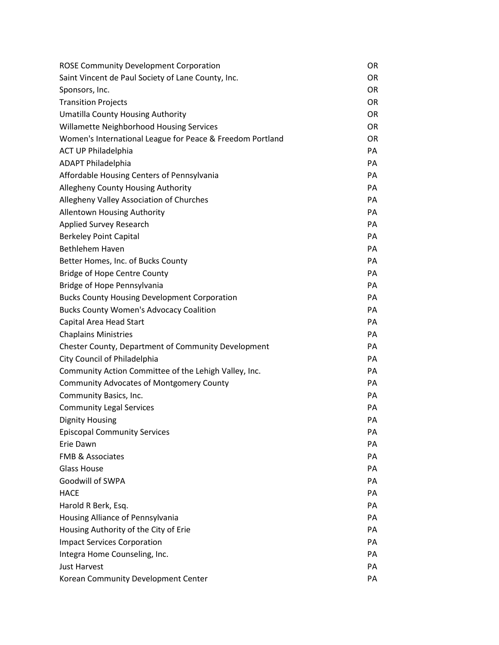| <b>ROSE Community Development Corporation</b>             | <b>OR</b> |
|-----------------------------------------------------------|-----------|
| Saint Vincent de Paul Society of Lane County, Inc.        | <b>OR</b> |
| Sponsors, Inc.                                            | <b>OR</b> |
| <b>Transition Projects</b>                                | <b>OR</b> |
| <b>Umatilla County Housing Authority</b>                  | <b>OR</b> |
| Willamette Neighborhood Housing Services                  | <b>OR</b> |
| Women's International League for Peace & Freedom Portland | <b>OR</b> |
| <b>ACT UP Philadelphia</b>                                | PA        |
| <b>ADAPT Philadelphia</b>                                 | PA        |
| Affordable Housing Centers of Pennsylvania                | PA        |
| Allegheny County Housing Authority                        | PA        |
| Allegheny Valley Association of Churches                  | PA        |
| <b>Allentown Housing Authority</b>                        | PA        |
| <b>Applied Survey Research</b>                            | PA        |
| <b>Berkeley Point Capital</b>                             | PA        |
| <b>Bethlehem Haven</b>                                    | PA        |
| Better Homes, Inc. of Bucks County                        | PA        |
| <b>Bridge of Hope Centre County</b>                       | PA        |
| Bridge of Hope Pennsylvania                               | PA        |
| <b>Bucks County Housing Development Corporation</b>       | PA        |
| <b>Bucks County Women's Advocacy Coalition</b>            | PA        |
| Capital Area Head Start                                   | PA        |
| <b>Chaplains Ministries</b>                               | PA        |
| Chester County, Department of Community Development       | PA        |
| City Council of Philadelphia                              | PA        |
| Community Action Committee of the Lehigh Valley, Inc.     | PA        |
| <b>Community Advocates of Montgomery County</b>           | PA        |
| Community Basics, Inc.                                    | PA        |
| <b>Community Legal Services</b>                           | PA        |
| <b>Dignity Housing</b>                                    | PA        |
| <b>Episcopal Community Services</b>                       | PA        |
| Erie Dawn                                                 | PA        |
| <b>FMB &amp; Associates</b>                               | PA        |
| <b>Glass House</b>                                        | PA        |
| Goodwill of SWPA                                          | PA        |
| <b>HACE</b>                                               | PA        |
| Harold R Berk, Esq.                                       | PA        |
| Housing Alliance of Pennsylvania                          | PA        |
| Housing Authority of the City of Erie                     | PA        |
| <b>Impact Services Corporation</b>                        | PA        |
| Integra Home Counseling, Inc.                             | PA        |
| <b>Just Harvest</b>                                       | PA        |
| Korean Community Development Center                       | PA        |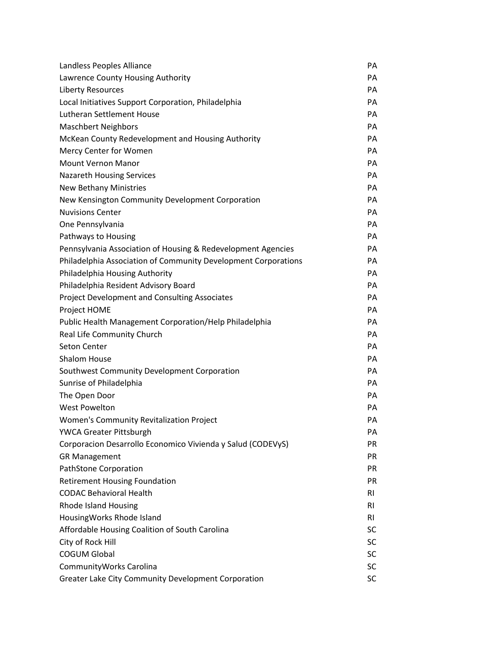| Landless Peoples Alliance                                      | PA        |
|----------------------------------------------------------------|-----------|
| Lawrence County Housing Authority                              | PA        |
| <b>Liberty Resources</b>                                       | PA        |
| Local Initiatives Support Corporation, Philadelphia            | PA        |
| <b>Lutheran Settlement House</b>                               | PA        |
| <b>Maschbert Neighbors</b>                                     | PA        |
| McKean County Redevelopment and Housing Authority              | PA        |
| Mercy Center for Women                                         | PA        |
| <b>Mount Vernon Manor</b>                                      | PA        |
| <b>Nazareth Housing Services</b>                               | PA        |
| <b>New Bethany Ministries</b>                                  | PA        |
| New Kensington Community Development Corporation               | PA        |
| <b>Nuvisions Center</b>                                        | PA        |
| One Pennsylvania                                               | PA        |
| Pathways to Housing                                            | PA        |
| Pennsylvania Association of Housing & Redevelopment Agencies   | PA        |
| Philadelphia Association of Community Development Corporations | PA        |
| Philadelphia Housing Authority                                 | PA        |
| Philadelphia Resident Advisory Board                           | PA        |
| Project Development and Consulting Associates                  | PA        |
| Project HOME                                                   | PA        |
| Public Health Management Corporation/Help Philadelphia         | PA        |
| Real Life Community Church                                     | PA        |
| <b>Seton Center</b>                                            | PA        |
| <b>Shalom House</b>                                            | PA        |
| Southwest Community Development Corporation                    | PA        |
| Sunrise of Philadelphia                                        | PA        |
| The Open Door                                                  | PA        |
| <b>West Powelton</b>                                           | PA        |
| <b>Women's Community Revitalization Project</b>                | PA        |
| <b>YWCA Greater Pittsburgh</b>                                 | PA        |
| Corporacion Desarrollo Economico Vivienda y Salud (CODEVyS)    | <b>PR</b> |
| <b>GR Management</b>                                           | <b>PR</b> |
| PathStone Corporation                                          | <b>PR</b> |
| <b>Retirement Housing Foundation</b>                           | <b>PR</b> |
| <b>CODAC Behavioral Health</b>                                 | <b>RI</b> |
| <b>Rhode Island Housing</b>                                    | RI.       |
| HousingWorks Rhode Island                                      | <b>RI</b> |
| Affordable Housing Coalition of South Carolina                 | <b>SC</b> |
| City of Rock Hill                                              | SC        |
| <b>COGUM Global</b>                                            | SC        |
| Community Works Carolina                                       | SC        |
| Greater Lake City Community Development Corporation            | SC        |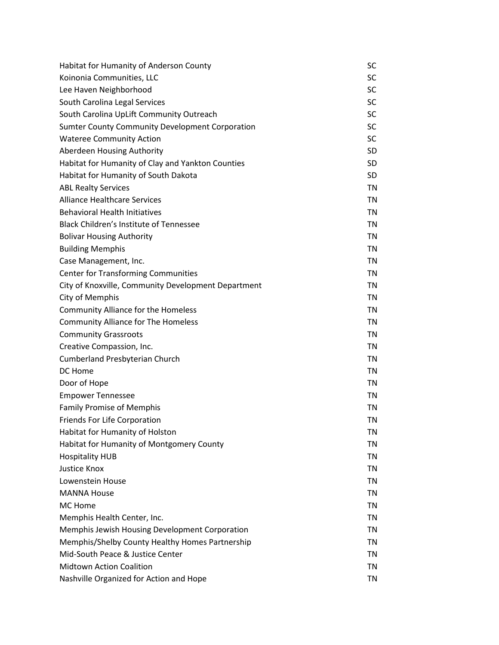| Habitat for Humanity of Anderson County                | SC        |
|--------------------------------------------------------|-----------|
| Koinonia Communities, LLC                              | <b>SC</b> |
| Lee Haven Neighborhood                                 | <b>SC</b> |
| South Carolina Legal Services                          | <b>SC</b> |
| South Carolina UpLift Community Outreach               | <b>SC</b> |
| <b>Sumter County Community Development Corporation</b> | <b>SC</b> |
| <b>Wateree Community Action</b>                        | <b>SC</b> |
| Aberdeen Housing Authority                             | <b>SD</b> |
| Habitat for Humanity of Clay and Yankton Counties      | <b>SD</b> |
| Habitat for Humanity of South Dakota                   | <b>SD</b> |
| <b>ABL Realty Services</b>                             | TN        |
| <b>Alliance Healthcare Services</b>                    | TN        |
| <b>Behavioral Health Initiatives</b>                   | TN        |
| <b>Black Children's Institute of Tennessee</b>         | <b>TN</b> |
| <b>Bolivar Housing Authority</b>                       | TN        |
| <b>Building Memphis</b>                                | TN        |
| Case Management, Inc.                                  | TN        |
| <b>Center for Transforming Communities</b>             | <b>TN</b> |
| City of Knoxville, Community Development Department    | TN        |
| City of Memphis                                        | TN        |
| <b>Community Alliance for the Homeless</b>             | TN        |
| <b>Community Alliance for The Homeless</b>             | <b>TN</b> |
| <b>Community Grassroots</b>                            | TN        |
| Creative Compassion, Inc.                              | TN        |
| <b>Cumberland Presbyterian Church</b>                  | TN        |
| DC Home                                                | <b>TN</b> |
| Door of Hope                                           | TN        |
| <b>Empower Tennessee</b>                               | TN        |
| <b>Family Promise of Memphis</b>                       | TN        |
| <b>Friends For Life Corporation</b>                    | <b>TN</b> |
| Habitat for Humanity of Holston                        | <b>TN</b> |
| Habitat for Humanity of Montgomery County              | TN        |
| <b>Hospitality HUB</b>                                 | TN        |
| Justice Knox                                           | TN        |
| Lowenstein House                                       | TN        |
| <b>MANNA House</b>                                     | TN        |
| MC Home                                                | TN        |
| Memphis Health Center, Inc.                            | TN        |
| <b>Memphis Jewish Housing Development Corporation</b>  | TN        |
| Memphis/Shelby County Healthy Homes Partnership        | TN        |
| Mid-South Peace & Justice Center                       | TN        |
| <b>Midtown Action Coalition</b>                        | TN        |
| Nashville Organized for Action and Hope                | <b>TN</b> |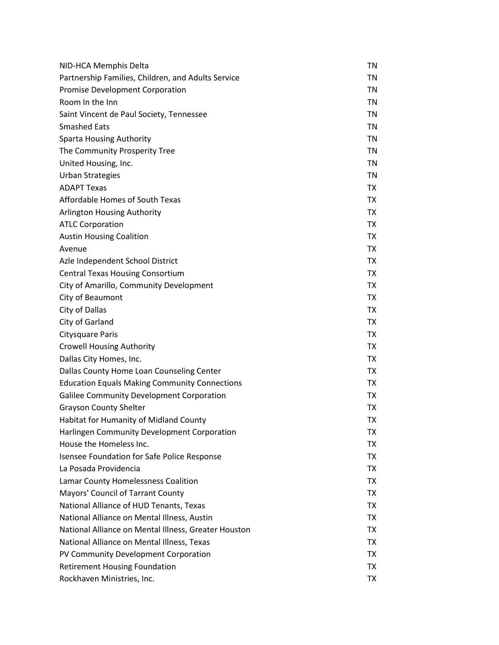| NID-HCA Memphis Delta                                | TN        |
|------------------------------------------------------|-----------|
| Partnership Families, Children, and Adults Service   | TN        |
| <b>Promise Development Corporation</b>               | TN        |
| Room In the Inn                                      | <b>TN</b> |
| Saint Vincent de Paul Society, Tennessee             | TN        |
| <b>Smashed Eats</b>                                  | TN        |
| <b>Sparta Housing Authority</b>                      | TN        |
| The Community Prosperity Tree                        | <b>TN</b> |
| United Housing, Inc.                                 | TN        |
| <b>Urban Strategies</b>                              | <b>TN</b> |
| <b>ADAPT Texas</b>                                   | TX        |
| Affordable Homes of South Texas                      | TX        |
| Arlington Housing Authority                          | TX        |
| <b>ATLC Corporation</b>                              | <b>TX</b> |
| <b>Austin Housing Coalition</b>                      | TX        |
| Avenue                                               | TX        |
| Azle Independent School District                     | TX        |
| <b>Central Texas Housing Consortium</b>              | <b>TX</b> |
| City of Amarillo, Community Development              | TX        |
| City of Beaumont                                     | TX        |
| City of Dallas                                       | TX        |
| City of Garland                                      | <b>TX</b> |
| <b>Citysquare Paris</b>                              | TX        |
| <b>Crowell Housing Authority</b>                     | TX        |
| Dallas City Homes, Inc.                              | TX        |
| Dallas County Home Loan Counseling Center            | <b>TX</b> |
| <b>Education Equals Making Community Connections</b> | TX        |
| Galilee Community Development Corporation            | TX        |
| <b>Grayson County Shelter</b>                        | TX        |
| Habitat for Humanity of Midland County               | TX        |
| Harlingen Community Development Corporation          | TX        |
| House the Homeless Inc.                              | <b>TX</b> |
| Isensee Foundation for Safe Police Response          | TX        |
| La Posada Providencia                                | <b>TX</b> |
| Lamar County Homelessness Coalition                  | <b>TX</b> |
| Mayors' Council of Tarrant County                    | <b>TX</b> |
| National Alliance of HUD Tenants, Texas              | TX        |
| National Alliance on Mental Illness, Austin          | TX        |
| National Alliance on Mental Illness, Greater Houston | TX        |
| National Alliance on Mental Illness, Texas           | <b>TX</b> |
| PV Community Development Corporation                 | TX        |
| <b>Retirement Housing Foundation</b>                 | <b>TX</b> |
| Rockhaven Ministries, Inc.                           | TX        |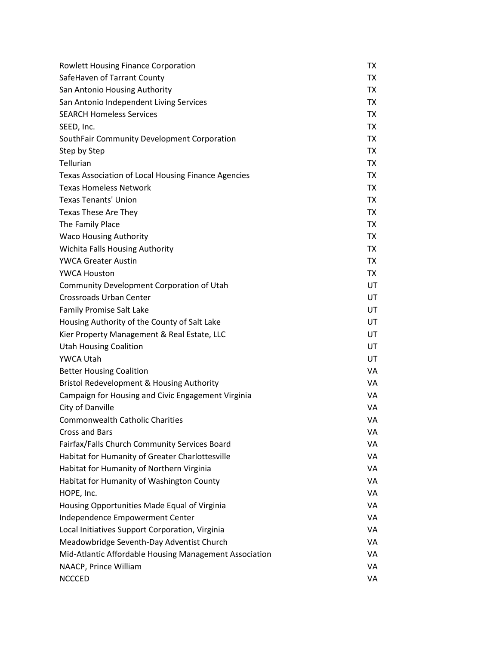| <b>Rowlett Housing Finance Corporation</b>             | <b>TX</b> |
|--------------------------------------------------------|-----------|
| SafeHaven of Tarrant County                            | TX        |
| San Antonio Housing Authority                          | TX        |
| San Antonio Independent Living Services                | TX        |
| <b>SEARCH Homeless Services</b>                        | TX        |
| SEED, Inc.                                             | TX        |
| SouthFair Community Development Corporation            | <b>TX</b> |
| Step by Step                                           | TX        |
| Tellurian                                              | TX        |
| Texas Association of Local Housing Finance Agencies    | TX        |
| <b>Texas Homeless Network</b>                          | <b>TX</b> |
| <b>Texas Tenants' Union</b>                            | TX        |
| Texas These Are They                                   | TX        |
| The Family Place                                       | TX        |
| <b>Waco Housing Authority</b>                          | <b>TX</b> |
| Wichita Falls Housing Authority                        | TX        |
| <b>YWCA Greater Austin</b>                             | TX        |
| <b>YWCA Houston</b>                                    | TX        |
| Community Development Corporation of Utah              | UT        |
| <b>Crossroads Urban Center</b>                         | UT        |
| <b>Family Promise Salt Lake</b>                        | UT        |
| Housing Authority of the County of Salt Lake           | UT        |
| Kier Property Management & Real Estate, LLC            | UT        |
| <b>Utah Housing Coalition</b>                          | UT        |
| YWCA Utah                                              | UT        |
| <b>Better Housing Coalition</b>                        | VA        |
| <b>Bristol Redevelopment &amp; Housing Authority</b>   | VA        |
| Campaign for Housing and Civic Engagement Virginia     | VA        |
| City of Danville                                       | VA        |
| <b>Commonwealth Catholic Charities</b>                 | VA        |
| Cross and Bars                                         | VA        |
| Fairfax/Falls Church Community Services Board          | VA        |
| Habitat for Humanity of Greater Charlottesville        | VA        |
| Habitat for Humanity of Northern Virginia              | VA        |
| Habitat for Humanity of Washington County              | VA        |
| HOPE, Inc.                                             | VA        |
| Housing Opportunities Made Equal of Virginia           | VA        |
| Independence Empowerment Center                        | VA        |
| Local Initiatives Support Corporation, Virginia        | VA        |
| Meadowbridge Seventh-Day Adventist Church              | VA        |
| Mid-Atlantic Affordable Housing Management Association | VA        |
| NAACP, Prince William                                  | VA        |
| <b>NCCCED</b>                                          | VA        |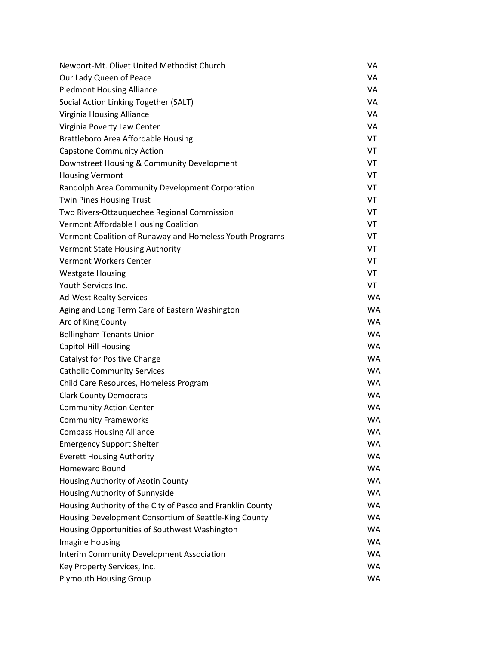| Newport-Mt. Olivet United Methodist Church                 | VA        |
|------------------------------------------------------------|-----------|
| Our Lady Queen of Peace                                    | VA        |
| <b>Piedmont Housing Alliance</b>                           | VA        |
| Social Action Linking Together (SALT)                      | VA        |
| Virginia Housing Alliance                                  | VA        |
| Virginia Poverty Law Center                                | VA        |
| Brattleboro Area Affordable Housing                        | VT        |
| <b>Capstone Community Action</b>                           | VT        |
| Downstreet Housing & Community Development                 | VT        |
| <b>Housing Vermont</b>                                     | VT        |
| Randolph Area Community Development Corporation            | VT        |
| <b>Twin Pines Housing Trust</b>                            | VT        |
| Two Rivers-Ottauquechee Regional Commission                | VT        |
| Vermont Affordable Housing Coalition                       | VT        |
| Vermont Coalition of Runaway and Homeless Youth Programs   | VT        |
| <b>Vermont State Housing Authority</b>                     | VT        |
| <b>Vermont Workers Center</b>                              | VT        |
| <b>Westgate Housing</b>                                    | VT        |
| Youth Services Inc.                                        | VT        |
| <b>Ad-West Realty Services</b>                             | <b>WA</b> |
| Aging and Long Term Care of Eastern Washington             | <b>WA</b> |
| Arc of King County                                         | <b>WA</b> |
| <b>Bellingham Tenants Union</b>                            | <b>WA</b> |
| <b>Capitol Hill Housing</b>                                | <b>WA</b> |
| Catalyst for Positive Change                               | <b>WA</b> |
| <b>Catholic Community Services</b>                         | <b>WA</b> |
| Child Care Resources, Homeless Program                     | <b>WA</b> |
| <b>Clark County Democrats</b>                              | <b>WA</b> |
| <b>Community Action Center</b>                             | <b>WA</b> |
| <b>Community Frameworks</b>                                | <b>WA</b> |
| <b>Compass Housing Alliance</b>                            | <b>WA</b> |
| <b>Emergency Support Shelter</b>                           | <b>WA</b> |
| <b>Everett Housing Authority</b>                           | <b>WA</b> |
| <b>Homeward Bound</b>                                      | <b>WA</b> |
| Housing Authority of Asotin County                         | <b>WA</b> |
| Housing Authority of Sunnyside                             | <b>WA</b> |
| Housing Authority of the City of Pasco and Franklin County | <b>WA</b> |
| Housing Development Consortium of Seattle-King County      | <b>WA</b> |
| Housing Opportunities of Southwest Washington              | <b>WA</b> |
| <b>Imagine Housing</b>                                     | <b>WA</b> |
| Interim Community Development Association                  | <b>WA</b> |
| Key Property Services, Inc.                                | <b>WA</b> |
| <b>Plymouth Housing Group</b>                              | WA        |